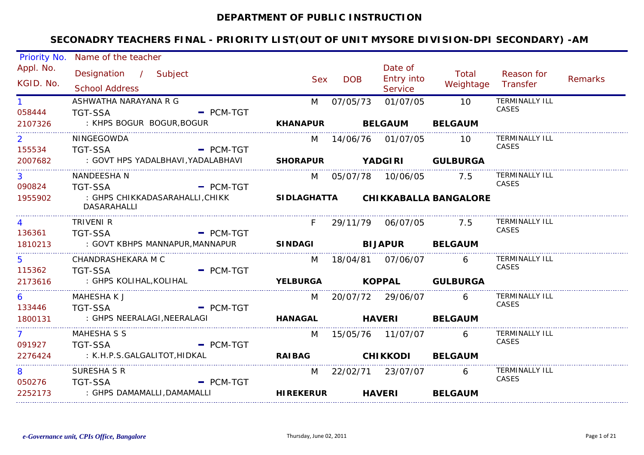#### **DEPARTMENT OF PUBLIC INSTRUCTION**

|                          | Priority No. Name of the teacher                    |             |                           |            |                                         |                                   |                                |         |
|--------------------------|-----------------------------------------------------|-------------|---------------------------|------------|-----------------------------------------|-----------------------------------|--------------------------------|---------|
| Appl. No.<br>KGID. No.   | Designation / Subject<br><b>School Address</b>      |             | <b>Sex</b>                | <b>DOB</b> | Date of<br><b>Entry into</b><br>Service | Total<br>Weightage                | Reason for<br>Transfer         | Remarks |
| $1 \quad$<br>058444      | ASHWATHA NARAYANA R G<br><b>TGT-SSA</b>             | $-$ PCM-TGT | M                         | 07/05/73   | 01/07/05                                | 10                                | <b>TERMINALLY ILL</b><br>CASES |         |
| 2107326                  | : KHPS BOGUR BOGUR, BOGUR                           |             | <b>KHANAPUR</b>           |            | <b>BELGAUM</b>                          | <b>BELGAUM</b>                    |                                |         |
| $\overline{2}$<br>155534 | NINGEGOWDA<br><b>TGT-SSA</b>                        | $-$ PCM-TGT |                           |            | M 14/06/76 01/07/05                     | - 10                              | <b>TERMINALLY ILL</b><br>CASES |         |
| 2007682                  | : GOVT HPS YADALBHAVI,YADALABHAVI                   |             | SHORAPUR YADGIRI GULBURGA |            |                                         |                                   |                                |         |
| 3<br>090824              | NANDEESHA N<br>$-$ PCM-TGT<br>TGT-SSA               |             |                           |            | M 05/07/78 10/06/05 7.5                 |                                   | <b>TERMINALLY ILL</b><br>CASES |         |
| 1955902                  | : GHPS CHIKKADASARAHALLI,CHIKK<br>DASARAHALLI       |             |                           |            |                                         | SIDLAGHATTA CHIKKABALLA BANGALORE |                                |         |
| 4<br>136361              | TRIVENI R<br><b>TGT-SSA</b>                         | $-$ PCM-TGT | F.                        |            | 29/11/79 06/07/05 7.5                   |                                   | TERMINALLY ILL<br>CASES        |         |
| 1810213                  | : GOVT KBHPS MANNAPUR,MANNAPUR                      |             | SINDAGI BIJAPUR BELGAUM   |            |                                         |                                   |                                |         |
| 5.<br>115362             | CHANDRASHEKARA M C<br>$-$ PCM-TGT<br><b>TGT-SSA</b> |             |                           |            | M 18/04/81 07/06/07                     | 6                                 | TERMINALLY ILL<br>CASES        |         |
| 2173616                  | : GHPS KOLIHAL,KOLIHAL                              |             |                           |            |                                         | YELBURGA KOPPAL GULBURGA          |                                |         |
| 6<br>133446              | MAHESHA K J<br><b>TGT-SSA</b>                       | $=$ PCM-TGT |                           |            | M 20/07/72 29/06/07                     | 6                                 | TERMINALLY ILL<br>CASES        |         |
| 1800131                  | : GHPS NEERALAGI, NEERALAGI                         |             | <b>HANAGAL</b>            |            | <b>HAVERI</b>                           | <b>BELGAUM</b>                    |                                |         |
| 7 <sup>7</sup><br>091927 | MAHESHA S S<br><b>TGT-SSA</b>                       | $-$ PCM-TGT | M                         |            |                                         | 6                                 | TERMINALLY ILL<br>CASES        |         |
| 2276424                  | : K.H.P.S.GALGALITOT,HIDKAL                         |             | <b>RAIBAG</b>             |            | <b>CHIKKODI</b>                         | <b>BELGAUM</b>                    |                                |         |
| 8<br>050276              | SURESHA S R<br><b>TGT-SSA</b>                       | $-$ PCM-TGT |                           |            | M 22/02/71 23/07/07                     | 6                                 | TERMINALLY ILL<br>CASES        |         |
| 2252173                  | : GHPS DAMAMALLI,DAMAMALLI                          |             | <b>HIREKERUR</b>          |            | <b>HAVERI</b>                           | <b>BELGAUM</b>                    |                                |         |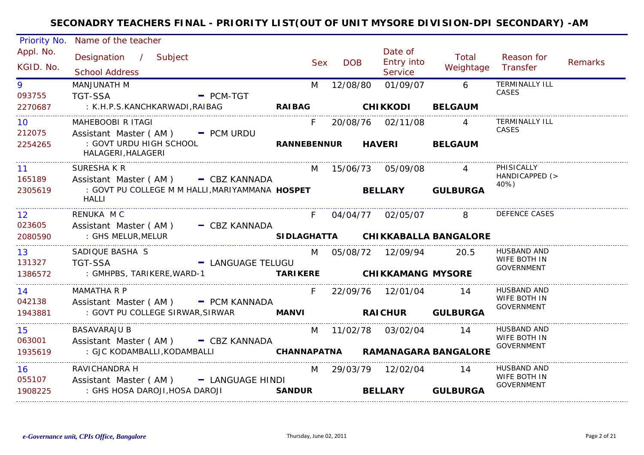| Priority No.              | Name of the teacher                                                                                         |               |            |                 |                                  |                                   |                                    |         |
|---------------------------|-------------------------------------------------------------------------------------------------------------|---------------|------------|-----------------|----------------------------------|-----------------------------------|------------------------------------|---------|
| Appl. No.<br>KGID. No.    | Designation / Subject<br><b>School Address</b>                                                              |               | <b>Sex</b> | <b>DOB</b>      | Date of<br>Entry into<br>Service | Total<br>Weightage                | Reason for<br>Transfer             | Remarks |
| 9<br>093755               | MANJUNATH M<br><b>TGT-SSA</b><br>$-$ PCM-TGT                                                                |               | M          | 12/08/80        | 01/09/07                         | $6\overline{6}$                   | <b>TERMINALLY ILL</b><br>CASES     |         |
| 2270687                   | : K.H.P.S.KANCHKARWADI,RAIBAG                                                                               | <b>RAIBAG</b> |            | <b>CHIKKODI</b> |                                  | <b>BELGAUM</b>                    |                                    |         |
| 10<br>212075              | MAHEBOOBI R ITAGI<br>Assistant Master (AM) - PCM URDU                                                       |               | $F =$      |                 | 20/08/76 02/11/08                | $\overline{4}$                    | <b>TERMINALLY ILL</b><br>CASES     |         |
| 2254265                   | : GOVT URDU HIGH SCHOOL<br>HALAGERI, HALAGERI                                                               |               |            |                 | RANNEBENNUR HAVERI               | <b>BELGAUM</b>                    |                                    |         |
| $11 -$<br>165189          | SURESHAKR<br>Assistant Master (AM) - CBZ KANNADA                                                            |               |            |                 | M 15/06/73 05/09/08              |                                   | PHISICALLY<br>HANDICAPPED (>       |         |
| 2305619                   | : GOVT PU COLLEGE M M HALLI, MARIYAMMANA HOSPET BELLARY GULBURGA<br>HALLI                                   |               |            |                 |                                  |                                   | 40%)                               |         |
| 12 <sup>2</sup><br>023605 | RENUKA M C                                                                                                  |               |            |                 | F 04/04/77 02/05/07              | 8 <sup>1</sup>                    | <b>DEFENCE CASES</b>               |         |
| 2080590                   | Assistant Master (AM) - CBZ KANNADA<br>: GHS MELUR,MELUR                                                    |               |            |                 |                                  | SIDLAGHATTA CHIKKABALLA BANGALORE |                                    |         |
| 13<br>131327              | SADIQUE BASHA S<br>- LANGUAGE TELUGU<br><b>TGT-SSA</b>                                                      |               |            |                 | M 05/08/72 12/09/94 20.5         |                                   | HUSBAND AND<br>WIFE BOTH IN        |         |
| 1386572                   | : GMHPBS, TARIKERE, WARD-1 <b>TARIKERE CHIKKAMANG MYSORE</b>                                                |               |            |                 |                                  |                                   | GOVERNMENT                         |         |
| 14                        | <b>MAMATHA R P</b>                                                                                          |               |            |                 | F 22/09/76 12/01/04 14           |                                   | HUSBAND AND<br>WIFE BOTH IN        |         |
| 042138<br>1943881         | Assistant Master (AM) - PCM KANNADA<br>: GOVT PU COLLEGE SIRWAR, SIRWAR <b>MANVI MANVI RAICHUR GULBURGA</b> |               |            |                 |                                  |                                   | GOVERNMENT                         |         |
| 15<br>063001              | <b>BASAVARAJU B</b>                                                                                         |               |            |                 | M 11/02/78 03/02/04              | $\overline{14}$                   | <b>HUSBAND AND</b><br>WIFE BOTH IN |         |
| 1935619                   | Assistant Master (AM) - CBZ KANNADA<br>: GJC KODAMBALLI, KODAMBALLI                                         |               |            |                 |                                  | CHANNAPATNA RAMANAGARA BANGALORE  | <b>GOVERNMENT</b>                  |         |
| <u> 16</u>                | RAVICHANDRA H                                                                                               |               |            |                 | M 29/03/79 12/02/04              | 14                                | HUSBAND AND<br>WIFE BOTH IN        |         |
| 055107<br>1908225         | Assistant Master (AM) - LANGUAGE HINDI<br>: GHS HOSA DAROJI, HOSA DAROJI <b>SANDUR</b>                      |               |            |                 |                                  | BELLARY GULBURGA                  | <b>GOVERNMENT</b>                  |         |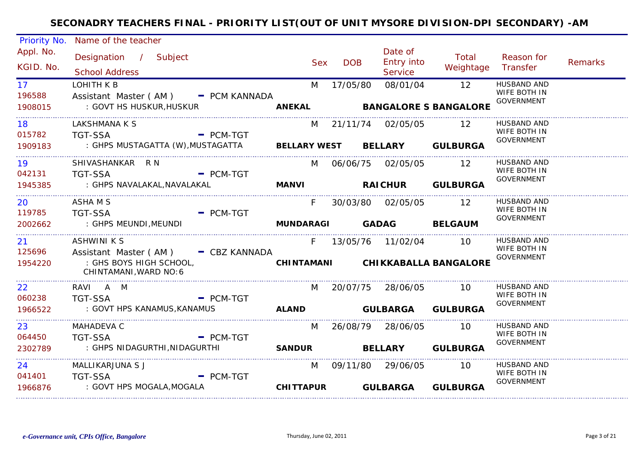| <b>Priority No.</b>       | Name of the teacher                                                                                                          |                  |            |                                  |                                                 |                                                         |                |
|---------------------------|------------------------------------------------------------------------------------------------------------------------------|------------------|------------|----------------------------------|-------------------------------------------------|---------------------------------------------------------|----------------|
| Appl. No.<br>KGID. No.    | Designation / Subject<br><b>School Address</b>                                                                               | <b>Sex</b>       | <b>DOB</b> | Date of<br>Entry into<br>Service | Total<br>Weightage                              | Reason for<br>Transfer                                  | <b>Remarks</b> |
| 17<br>196588<br>1908015   | LOHITH K B<br>Assistant Master (AM) - PCM KANNADA<br>: GOVT HS HUSKUR,HUSKUR                                                 | M                | 17/05/80   | 08/01/04                         | $\overline{12}$<br>ANEKAL BANGALORE S BANGALORE | <b>HUSBAND AND</b><br>WIFE BOTH IN<br><b>GOVERNMENT</b> |                |
| 18 7<br>015782<br>1909183 | LAKSHMANA K S<br>$\blacksquare$ PCM-TGT<br><b>TGT-SSA</b><br>: GHPS MUSTAGATTA (W), MUSTAGATTA BELLARY WEST BELLARY GULBURGA |                  |            | M 21/11/74 02/05/05 12           |                                                 | HUSBAND AND<br>WIFE BOTH IN<br><b>GOVERNMENT</b>        |                |
| 19<br>042131<br>1945385   | SHIVASHANKAR R N<br>TGT-SSA PCM-TGT<br>: GHPS NAVALAKAL, NAVALAKAL                                                           |                  |            | M 06/06/75 02/05/05 12           | MANVI RAICHUR GULBURGA                          | HUSBAND AND<br>WIFE BOTH IN<br>GOVERNMENT               |                |
| 20<br>119785<br>2002662   | ASHA M S<br><b>TGT-SSA</b><br>- PCM-TGT<br>MUNDARAGI GADAG BELGAUM<br>: GHPS MEUNDI, MEUNDI                                  | $F =$            |            | 30/03/80 02/05/05 12             |                                                 | HUSBAND AND<br>WIFE BOTH IN<br>GOVERNMENT               |                |
| 21<br>125696<br>1954220   | <b>ASHWINI K S</b><br>Assistant Master (AM) - CBZ KANNADA<br>: GHS BOYS HIGH SCHOOL,<br>CHINTAMANI, WARD NO: 6               |                  |            | F 13/05/76 11/02/04 10           | CHINTAMANI CHIKKABALLA BANGALORE                | HUSBAND AND<br>WIFE BOTH IN<br><b>GOVERNMENT</b>        |                |
| 22<br>060238<br>1966522   | RAVI A M<br><b>TGT-SSA</b><br>$\blacksquare$ PCM-TGT<br>: GOVT HPS KANAMUS, KANAMUS                                          |                  |            | M 20/07/75 28/06/05 10           | ALAND GULBARGA GULBURGA                         | <b>HUSBAND AND</b><br>WIFE BOTH IN<br>GOVERNMENT        |                |
| 23<br>064450<br>2302789   | MAHADEVA C<br><b>TGT-SSA</b><br>$\overline{\phantom{a}}$ PCM-TGT<br>: GHPS NIDAGURTHI, NIDAGURTHI                            | M                |            | 26/08/79 28/06/05 10             | SANDUR BELLARY GULBURGA                         | HUSBAND AND<br>WIFE BOTH IN<br>GOVERNMENT               |                |
| 24<br>041401<br>1966876   | MALLIKARJUNA S J<br>- PCM-TGT<br>TGT-SSA<br>: GOVT HPS MOGALA, MOGALA                                                        | <b>CHITTAPUR</b> |            | M 09/11/80 29/06/05 10           | <b>GULBARGA GULBURGA</b>                        | HUSBAND AND<br>WIFE BOTH IN<br><b>GOVERNMENT</b>        |                |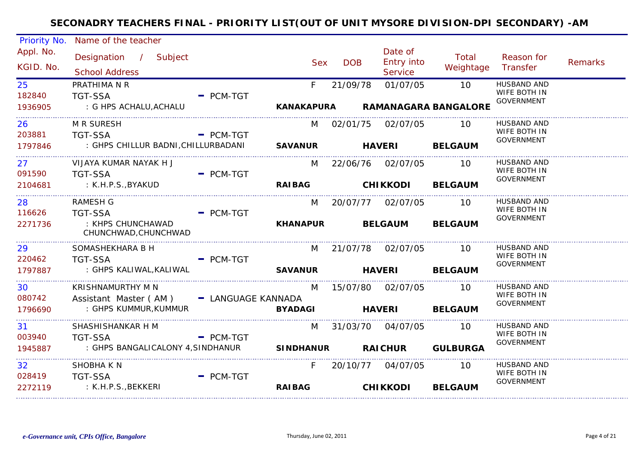| <b>Priority No.</b>    | Name of the teacher                            |                |                 |               |                                         |                    |                                   |                |
|------------------------|------------------------------------------------|----------------|-----------------|---------------|-----------------------------------------|--------------------|-----------------------------------|----------------|
| Appl. No.<br>KGID. No. | Designation / Subject<br><b>School Address</b> |                | <b>Sex</b>      | <b>DOB</b>    | Date of<br><b>Entry into</b><br>Service | Total<br>Weightage | Reason for<br>Transfer            | <b>Remarks</b> |
| 25                     | PRATHIMA N R                                   |                | F               | 21/09/78      | 01/07/05                                | 10                 | <b>HUSBAND AND</b>                |                |
| 182840                 | <b>TGT-SSA</b>                                 | $-$ PCM-TGT    |                 |               |                                         |                    | WIFE BOTH IN<br><b>GOVERNMENT</b> |                |
| 1936905                | : G HPS ACHALU, ACHALU                         |                | KANAKAPURA      |               | <b>RAMANAGARA BANGALORE</b>             |                    |                                   |                |
| 26                     | <b>M R SURESH</b>                              |                |                 |               | M 02/01/75 02/07/05                     | $\overline{10}$    | HUSBAND AND                       |                |
| 203881                 | <b>TGT-SSA</b><br><b>Example 19 PCM-TGT</b>    |                |                 |               |                                         |                    | WIFE BOTH IN<br><b>GOVERNMENT</b> |                |
| 1797846                |                                                |                |                 |               |                                         | <b>BELGAUM</b>     |                                   |                |
| 27                     | VIJAYA KUMAR NAYAK H J                         |                | M               |               | 22/06/76 02/07/05                       | $\overline{10}$    | <b>HUSBAND AND</b>                |                |
| 091590                 | <b>TGT-SSA</b>                                 | $-$ PCM-TGT    |                 |               |                                         |                    | WIFE BOTH IN<br>GOVERNMENT        |                |
| 2104681                | : K.H.P.S.,BYAKUD                              |                | <b>RAIBAG</b>   |               | <b>CHIKKODI BELGAUM</b>                 |                    |                                   |                |
| 28                     | <b>RAMESH G</b>                                |                | M               |               | 20/07/77 02/07/05                       | 10                 | <b>HUSBAND AND</b>                |                |
| 116626                 | <b>TGT-SSA</b>                                 | $=$ PCM-TGT    |                 |               |                                         |                    | WIFE BOTH IN<br><b>GOVERNMENT</b> |                |
| 2271736                | : KHPS CHUNCHAWAD<br>CHUNCHWAD, CHUNCHWAD      |                | <b>KHANAPUR</b> |               | <b>BELGAUM</b>                          | <b>BELGAUM</b>     |                                   |                |
| 29                     | SOMASHEKHARA B H                               |                |                 |               | M 21/07/78 02/07/05 10                  |                    | <b>HUSBAND AND</b>                |                |
| 220462                 | <b>TGT-SSA</b>                                 | $=$ PCM-TGT    |                 |               |                                         |                    | WIFE BOTH IN<br><b>GOVERNMENT</b> |                |
| 1797887                | : GHPS KALIWAL,KALIWAL                         | <b>SAVANUR</b> |                 | <b>HAVERI</b> |                                         | <b>BELGAUM</b>     |                                   |                |
| 30                     | KRISHNAMURTHY M N                              |                | M               |               | 15/07/80 02/07/05                       | $\overline{10}$    | <b>HUSBAND AND</b>                |                |
| 080742                 | Assistant Master (AM) - LANGUAGE KANNADA       |                |                 |               |                                         |                    | WIFE BOTH IN<br>GOVERNMENT        |                |
| 1796690                | : GHPS KUMMUR, KUMMUR                          |                | <b>BYADAGI</b>  | <b>HAVERI</b> |                                         | <b>BELGAUM</b>     |                                   |                |
| 31                     | SHASHISHANKAR H M                              |                | M               |               | 31/03/70 04/07/05                       | 10                 | HUSBAND AND                       |                |
| 003940                 | <b>TGT-SSA</b><br>$\sim$ PCM-TGT               |                |                 |               |                                         |                    | WIFE BOTH IN<br><b>GOVERNMENT</b> |                |
| 1945887                | : GHPS BANGALICALONY 4, SINDHANUR SINDHANUR    |                |                 |               | <b>RAICHUR</b>                          | <b>GULBURGA</b>    |                                   |                |
| 32 <sup>°</sup>        | SHOBHA K N                                     |                | F               |               | 20/10/77 04/07/05                       | - 10               | <b>HUSBAND AND</b>                |                |
| 028419                 | <b>TGT-SSA</b>                                 | $=$ PCM-TGT    |                 |               |                                         |                    | WIFE BOTH IN<br><b>GOVERNMENT</b> |                |
| 2272119                | : K.H.P.S.,BEKKERI                             |                | <b>RAIBAG</b>   |               | <b>CHIKKODI</b>                         | <b>BELGAUM</b>     |                                   |                |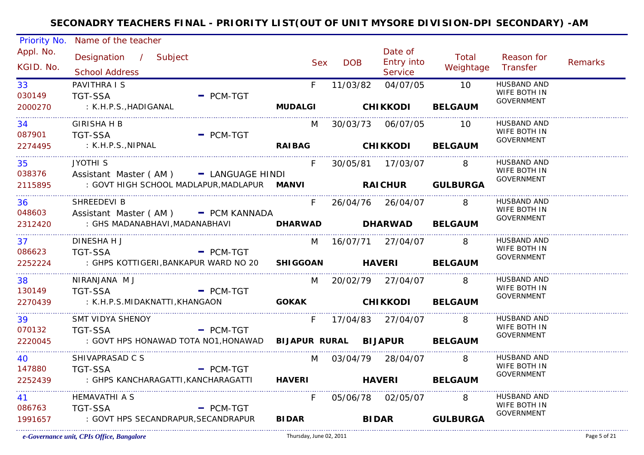| <b>Priority No.</b>          | Name of the teacher                                                                                                                        |                                       |              |            |                                  |                             |                                                  |         |
|------------------------------|--------------------------------------------------------------------------------------------------------------------------------------------|---------------------------------------|--------------|------------|----------------------------------|-----------------------------|--------------------------------------------------|---------|
| Appl. No.<br>KGID. No.       | Designation / Subject<br><b>School Address</b>                                                                                             |                                       | Sex          | <b>DOB</b> | Date of<br>Entry into<br>Service | Total<br>Weightage Transfer | Reason for                                       | Remarks |
| 33<br>030149                 | PAVITHRA I S<br><b>TGT-SSA</b>                                                                                                             | $-$ PCM-TGT                           | $F =$        | 11/03/82   | 04/07/05 10                      |                             | <b>HUSBAND AND</b><br>WIFE BOTH IN<br>GOVERNMENT |         |
| 2000270                      | : K.H.P.S.,HADIGANAL                                                                                                                       |                                       |              |            | MUDALGI CHIKKODI BELGAUM         |                             |                                                  |         |
| 34<br>087901                 | <b>GIRISHA H B</b><br><b>TGT-SSA</b>                                                                                                       | $-$ PCM-TGT                           |              |            | M 30/03/73 06/07/05 10           |                             | HUSBAND AND<br>WIFE BOTH IN                      |         |
| 2274495                      | : K.H.P.S., NIPNAL                                                                                                                         |                                       |              |            | RAIBAG CHIKKODI BELGAUM          |                             | <b>GOVERNMENT</b>                                |         |
| 35<br>038376                 | JYOTHI <sub>S</sub>                                                                                                                        |                                       | F            |            | 30/05/81  17/03/07  8            |                             | <b>HUSBAND AND</b><br>WIFE BOTH IN               |         |
| 2115895                      | Assistant Master (AM) - LANGUAGE HINDI<br>: GOVT HIGH SCHOOL MADLAPUR, MADLAPUR    MANVI <b>RAICHUR    GULBURGA</b>                        |                                       |              |            |                                  |                             | <b>GOVERNMENT</b>                                |         |
| 36<br>048603                 | SHREEDEVI B                                                                                                                                |                                       | $F =$        |            | 26/04/76 26/04/07 8              |                             | HUSBAND AND<br>WIFE BOTH IN                      |         |
| 2312420                      | Assistant Master (AM) - PCM KANNADA<br>: GHS MADANABHAVI, MADANABHAVI                  DHARWAD                 DHARWAD             BELGAUM |                                       |              |            |                                  |                             | <b>GOVERNMENT</b>                                |         |
| 37<br>086623                 | DINESHA H J                                                                                                                                |                                       |              |            | M 16/07/71 27/04/07 8            |                             | HUSBAND AND<br>WIFE BOTH IN                      |         |
| 2252224                      | <b>TGT-SSA</b><br>: GHPS KOTTIGERI, BANKAPUR WARD NO 20 SHIGGOAN HAVERI BELGAUM                                                            | $-$ PCM-TGT                           |              |            |                                  |                             | <b>GOVERNMENT</b>                                |         |
| ______________________<br>38 | NIRANJANA MJ                                                                                                                               |                                       |              |            | M 20/02/79 27/04/07 8            |                             | HUSBAND AND<br>WIFE BOTH IN                      |         |
| 130149<br>2270439            | <b>TGT-SSA</b><br>: K.H.P.S.MIDAKNATTI,KHANGAON                                                                                            | $-$ PCM-TGT<br>GOKAK CHIKKODI BELGAUM |              |            |                                  |                             | GOVERNMENT                                       |         |
| 39                           | SMT VIDYA SHENOY                                                                                                                           |                                       | F.           |            | 17/04/83 27/04/07 8              |                             | HUSBAND AND<br>WIFE BOTH IN                      |         |
| 070132<br>2220045            | <b>TGT-SSA</b><br>: GOVT HPS HONAWAD TOTA NO1, HONAWAD                                                                                     | $-$ PCM-TGT                           |              |            | BIJAPUR RURAL BIJAPUR BELGAUM    |                             | GOVERNMENT                                       |         |
| 40                           | SHIVAPRASAD C S                                                                                                                            |                                       |              |            | M 03/04/79 28/04/07 8            |                             | HUSBAND AND                                      |         |
| 147880<br>2252439            | $PCM-TGT$<br>TGT-SSA<br>: GHPS KANCHARAGATTI, KANCHARAGATTI HAVERI HAVERI BELGAUM                                                          |                                       |              |            |                                  |                             | WIFE BOTH IN<br><b>GOVERNMENT</b>                |         |
| 41 —                         | <b>HEMAVATHI A S</b>                                                                                                                       |                                       | $F =$        |            | 05/06/78 02/05/07 8              |                             | HUSBAND AND<br>WIFE BOTH IN                      |         |
| 086763<br>1991657            | <b>TGT-SSA</b><br>: GOVT HPS SECANDRAPUR, SECANDRAPUR                                                                                      | $=$ PCM-TGT                           | <b>BIDAR</b> |            |                                  | BIDAR GULBURGA              | <b>GOVERNMENT</b>                                |         |
|                              |                                                                                                                                            |                                       |              |            |                                  |                             |                                                  |         |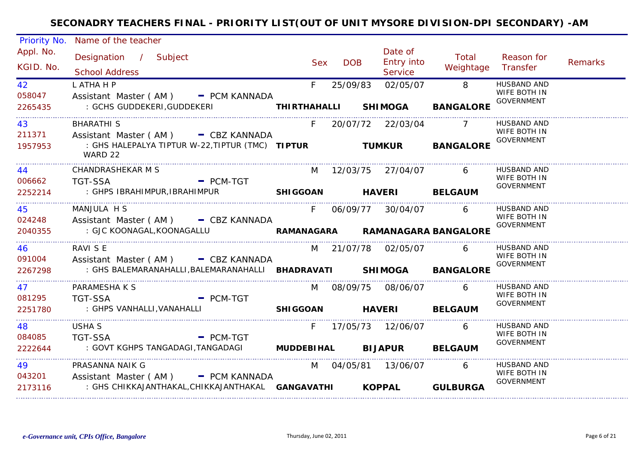| Priority No.           | Name of the teacher                                                                                 |             |            |                                                |                     |                                                         |         |
|------------------------|-----------------------------------------------------------------------------------------------------|-------------|------------|------------------------------------------------|---------------------|---------------------------------------------------------|---------|
| Appl. No.<br>KGID. No. | Designation / Subject<br><b>School Address</b>                                                      | <b>Sex</b>  | <b>DOB</b> | Date of<br><b>Entry into</b><br><b>Service</b> | Total<br>Weightage  | Reason for<br>Transfer                                  | Remarks |
| 42<br>058047           | L ATHA H P<br>Assistant Master (AM) - PCM KANNADA                                                   | F           | 25/09/83   | 02/05/07                                       | $\overline{8}$      | <b>HUSBAND AND</b><br>WIFE BOTH IN<br><b>GOVERNMENT</b> |         |
| 2265435                |                                                                                                     |             |            |                                                | <b>BANGALORE</b>    |                                                         |         |
| 43<br>211371           | <b>BHARATHI S</b><br>Assistant Master (AM) - CBZ KANNADA                                            | $F =$       |            | 20/07/72 22/03/04 7                            |                     | HUSBAND AND<br>WIFE BOTH IN                             |         |
| 1957953                | WARD 22                                                                                             |             |            |                                                | <b>BANGALORE</b>    | <b>GOVERNMENT</b>                                       |         |
| 44 – 10<br>006662      | CHANDRASHEKAR M S<br>- PCM-TGT<br>TGT-SSA                                                           |             |            | M 12/03/75 27/04/07 6                          |                     | HUSBAND AND<br>WIFE BOTH IN                             |         |
| 2252214                | : GHPS IBRAHIMPUR, IBRAHIMPUR                                                                       |             |            | SHIGGOAN HAVERI BELGAUM                        |                     | GOVERNMENT                                              |         |
| 45<br>024248           | MANJULA H S<br>Assistant Master (AM) - CBZ KANNADA                                                  | $F =$       |            |                                                | 06/09/77 30/04/07 6 | HUSBAND AND<br>WIFE BOTH IN<br><b>GOVERNMENT</b>        |         |
| 2040355                | ASSISTALL MITCH (AM ) - - CBZ KANNADA<br>GJC KOONAGAL, KOONAGALLU - RAMANAGARA RAMANAGARA BANGALORE |             |            |                                                |                     |                                                         |         |
| 46<br>091004           | RAVI S E<br>Assistant Master (AM) - CBZ KANNADA                                                     |             |            | M 21/07/78 02/05/07 6                          |                     | HUSBAND AND<br>WIFE BOTH IN                             |         |
| 2267298                | : GHS BALEMARANAHALLI, BALEMARANAHALLI BHADRAVATI SHIMOGA BANGALORE                                 |             |            |                                                |                     | GOVERNMENT                                              |         |
| 47<br>081295           | PARAMESHA K S<br><b>TGT-SSA</b>                                                                     |             |            | M 08/09/75 08/06/07                            | $6\overline{6}$     | HUSBAND AND<br>WIFE BOTH IN                             |         |
| 2251780                | $\blacksquare$ PCM-TGT<br>: GHPS VANHALLI, VANAHALLI SHIGGOAN HAVERI BELGAUM                        |             |            |                                                |                     | GOVERNMENT                                              |         |
| 48                     | <b>USHA S</b>                                                                                       | $F_{\perp}$ |            |                                                | 6                   | HUSBAND AND<br>WIFE BOTH IN                             |         |
| 084085<br>2222644      | <b>TGT-SSA</b><br>- PCM-TGT<br>: GOVT KGHPS TANGADAGI, TANGADAGI MUDDEBIHAL BIJAPUR BELGAUM         |             |            |                                                |                     | GOVERNMENT                                              |         |
| 49<br>043201           | PRASANNA NAIK G<br>Assistant Master (AM) - PCM KANNADA                                              |             |            | M 04/05/81 13/06/07                            | 6                   | HUSBAND AND<br>WIFE BOTH IN                             |         |
| 2173116                | : GHS CHIKKAJANTHAKAL, CHIKKAJANTHAKAL GANGAVATHI KOPPAL GULBURGA                                   |             |            |                                                |                     | <b>GOVERNMENT</b>                                       |         |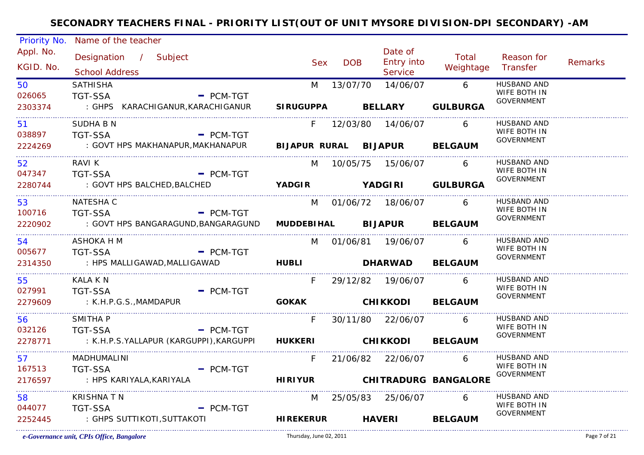| <b>Priority No.</b>    | Name of the teacher                                             |                          |            |                                  |                              |                                   |                |
|------------------------|-----------------------------------------------------------------|--------------------------|------------|----------------------------------|------------------------------|-----------------------------------|----------------|
| Appl. No.<br>KGID. No. | Designation / Subject<br><b>School Address</b>                  | <b>Sex</b>               | <b>DOB</b> | Date of<br>Entry into<br>Service | Total<br>Weightage           | Reason for<br>Transfer            | <b>Remarks</b> |
| 50                     | <b>SATHISHA</b>                                                 | M                        |            | 13/07/70  14/06/07               | $6\overline{6}$              | HUSBAND AND                       |                |
| 026065                 | <b>TGT-SSA</b><br>$-$ PCM-TGT                                   |                          |            |                                  |                              | WIFE BOTH IN<br><b>GOVERNMENT</b> |                |
| 2303374                | : GHPS KARACHIGANUR, KARACHIGANUR                               | SIRUGUPPA BELLARY        |            |                                  | <b>GULBURGA</b>              |                                   |                |
| 51                     | <b>SUDHA B N</b>                                                |                          |            | F 12/03/80 14/06/07 6            |                              | <b>HUSBAND AND</b>                |                |
| 038897                 | $-$ PCM-TGT<br>TGT-SSA                                          |                          |            |                                  |                              | WIFE BOTH IN<br>GOVERNMENT        |                |
| 2224269                | : GOVT HPS MAKHANAPUR, MAKHANAPUR BIJAPUR RURAL BIJAPUR BELGAUM |                          |            |                                  |                              |                                   |                |
| 52                     | RAVI K                                                          |                          |            | M 10/05/75 15/06/07              | - 6                          | HUSBAND AND                       |                |
| 047347                 | <b>TGT-SSA</b><br>$-$ PCM-TGT                                   |                          |            |                                  |                              | WIFE BOTH IN<br>GOVERNMENT        |                |
| 2280744                | : GOVT HPS BALCHED, BALCHED                                     | YADGIR YADGIRI GULBURGA  |            |                                  |                              |                                   |                |
| 53                     | NATESHA C                                                       |                          |            | M 01/06/72 18/06/07 6            |                              | HUSBAND AND                       |                |
| 100716                 | - PCM-TGT<br><b>TGT-SSA</b>                                     |                          |            |                                  |                              | WIFE BOTH IN<br><b>GOVERNMENT</b> |                |
| 2220902                | : GOVT HPS BANGARAGUND, BANGARAGUND                             |                          |            | MUDDEBIHAL BIJAPUR BELGAUM       |                              |                                   |                |
| 54                     | ASHOKA H M                                                      |                          |            | M 01/06/81 19/06/07 6            |                              | HUSBAND AND                       |                |
| 005677                 | <b>TGT-SSA</b><br>$=$ PCM-TGT                                   |                          |            |                                  |                              | WIFE BOTH IN<br>GOVERNMENT        |                |
| 2314350                | : HPS MALLIGAWAD, MALLIGAWAD                                    | HUBLI DHARWAD BELGAUM    |            |                                  |                              |                                   |                |
| 55                     | KALA K N                                                        | F.                       |            | 29/12/82  19/06/07               | 6                            | <b>HUSBAND AND</b>                |                |
| 027991                 | <b>TGT-SSA</b><br>$-$ PCM-TGT                                   |                          |            |                                  |                              | WIFE BOTH IN<br>GOVERNMENT        |                |
| 2279609                | : K.H.P.G.S., MAMDAPUR                                          |                          |            | GOKAK CHIKKODI BELGAUM           |                              |                                   |                |
| 56                     | SMITHA P                                                        | F.                       |            | 30/11/80 22/06/07 6              |                              | HUSBAND AND                       |                |
| 032126                 | <b>TGT-SSA</b><br><b>Example 2 PCM-TGT</b>                      |                          |            |                                  |                              | WIFE BOTH IN<br>GOVERNMENT        |                |
| 2278771                | : K.H.P.S.YALLAPUR (KARGUPPI),KARGUPPI                          | HUKKERI CHIKKODI BELGAUM |            |                                  |                              |                                   |                |
| 57                     | MADHUMALINI                                                     | F                        |            | 21/06/82 22/06/07 6              |                              | HUSBAND AND                       |                |
| 167513                 | $\blacksquare$ PCM-TGT<br><b>TGT-SSA</b>                        |                          |            |                                  |                              | WIFE BOTH IN<br><b>GOVERNMENT</b> |                |
| 2176597                | : HPS KARIYALA, KARIYALA                                        |                          |            |                                  | HIRIYUR CHITRADURG BANGALORE |                                   |                |
| 58                     | <b>KRISHNATN</b>                                                |                          |            | M 25/05/83 25/06/07              | 6 <sup>6</sup>               | HUSBAND AND                       |                |
| 044077                 | <b>TGT-SSA</b><br>$=$ PCM-TGT                                   |                          |            |                                  |                              | WIFE BOTH IN<br><b>GOVERNMENT</b> |                |
| 2252445                | : GHPS SUTTIKOTI,SUTTAKOTI                                      | <b>HIREKERUR</b>         |            | <b>HAVERI</b>                    | <b>BELGAUM</b>               |                                   |                |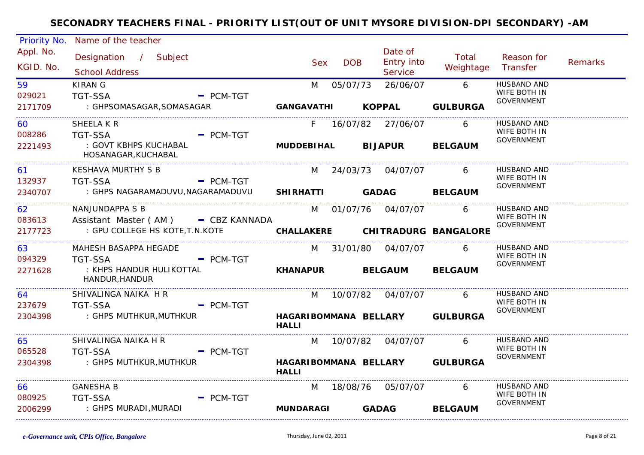| Priority No.           | Name of the teacher                                    |                            |            |                                  |                                 |                                                         |         |
|------------------------|--------------------------------------------------------|----------------------------|------------|----------------------------------|---------------------------------|---------------------------------------------------------|---------|
| Appl. No.<br>KGID. No. | Designation / Subject<br><b>School Address</b>         | <b>Sex</b>                 | <b>DOB</b> | Date of<br>Entry into<br>Service | Total<br>Weightage              | Reason for<br>Transfer                                  | Remarks |
| 59<br>029021           | <b>KIRAN G</b><br><b>TGT-SSA</b><br>$-$ PCM-TGT        | M                          | 05/07/73   | 26/06/07                         | $6\overline{6}$                 | <b>HUSBAND AND</b><br><b>WIFE BOTH IN</b>               |         |
| 2171709                | : GHPSOMASAGAR, SOMASAGAR                              | GANGAVATHI KOPPAL          |            |                                  | <b>GULBURGA</b>                 | <b>GOVERNMENT</b>                                       |         |
| 60<br>008286           | SHEELA K R<br><b>TGT-SSA</b><br>$=$ PCM-TGT            |                            |            | F 16/07/82 27/06/07              | 6                               | <b>HUSBAND AND</b><br>WIFE BOTH IN                      |         |
| 2221493                | : GOVT KBHPS KUCHABAL<br>HOSANAGAR, KUCHABAL           | MUDDEBIHAL BIJAPUR BELGAUM |            |                                  |                                 | <b>GOVERNMENT</b>                                       |         |
| 61<br>132937           | KESHAVA MURTHY S B<br><b>TGT-SSA</b><br>- PCM-TGT      | M                          |            | 24/03/73 04/07/07                | 6                               | <b>HUSBAND AND</b><br>WIFE BOTH IN                      |         |
| 2340707                | : GHPS NAGARAMADUVU, NAGARAMADUVU                      | SHIRHATTI GADAG            |            |                                  | <b>BELGAUM</b>                  | <b>GOVERNMENT</b>                                       |         |
| 62<br>083613           | NANJUNDAPPA S B<br>Assistant Master (AM) - CBZ KANNADA |                            |            | M 01/07/76 04/07/07 6            |                                 | HUSBAND AND<br>WIFE BOTH IN                             |         |
| 2177723                | : GPU COLLEGE HS KOTE, T.N.KOTE                        |                            |            |                                  | CHALLAKERE CHITRADURG BANGALORE | <b>GOVERNMENT</b>                                       |         |
| 63<br>094329           | MAHESH BASAPPA HEGADE<br><b>TGT-SSA</b><br>$-$ PCM-TGT |                            |            | M 31/01/80 04/07/07              | 6                               | <b>HUSBAND AND</b><br>WIFE BOTH IN                      |         |
| 2271628                | : KHPS HANDUR HULIKOTTAL<br>HANDUR, HANDUR             | KHANAPUR BELGAUM           |            |                                  | <b>BELGAUM</b>                  | <b>GOVERNMENT</b>                                       |         |
| 64<br>237679           | SHIVALINGA NAIKA H R<br>$-$ PCM-TGT<br><b>TGT-SSA</b>  | M                          |            | 10/07/82  04/07/07               | 6                               | <b>HUSBAND AND</b><br>WIFE BOTH IN<br>GOVERNMENT        |         |
| 2304398                | : GHPS MUTHKUR,MUTHKUR                                 | <b>HALLI</b>               |            |                                  | HAGARIBOMMANA BELLARY GULBURGA  |                                                         |         |
| 65<br>065528           | SHIVALINGA NAIKA H R<br><b>TGT-SSA</b><br>$-$ PCM-TGT  | M                          |            | 10/07/82 04/07/07                | 6                               | <b>HUSBAND AND</b><br>WIFE BOTH IN<br><b>GOVERNMENT</b> |         |
| 2304398                | : GHPS MUTHKUR,MUTHKUR                                 | <b>HALLI</b>               |            |                                  | HAGARIBOMMANA BELLARY GULBURGA  |                                                         |         |
| 66<br>080925           | <b>GANESHA B</b><br><b>TGT-SSA</b><br>$=$ PCM-TGT      | M                          |            | 18/08/76 05/07/07                | 6                               | <b>HUSBAND AND</b><br>WIFE BOTH IN                      |         |
| 2006299                | : GHPS MURADI,MURADI                                   | <b>MUNDARAGI</b>           |            | <b>GADAG</b>                     | <b>BELGAUM</b>                  | <b>GOVERNMENT</b>                                       |         |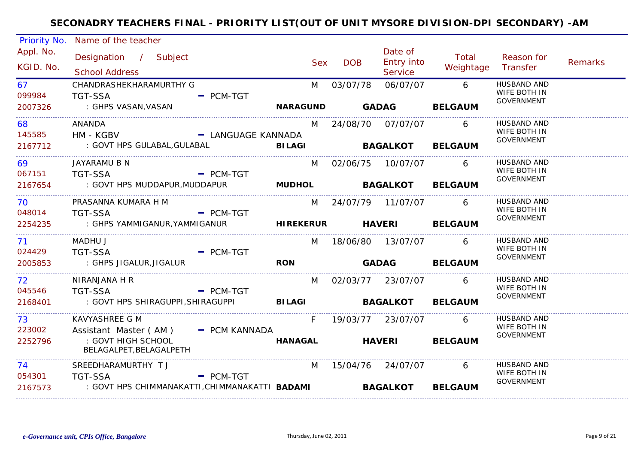| <b>Priority No.</b>                     | Name of the teacher                                                                        |                    |            |            |                                  |                    |                                                         |         |
|-----------------------------------------|--------------------------------------------------------------------------------------------|--------------------|------------|------------|----------------------------------|--------------------|---------------------------------------------------------|---------|
| Appl. No.<br>KGID. No.                  | Designation / Subject<br><b>School Address</b>                                             |                    | <b>Sex</b> | <b>DOB</b> | Date of<br>Entry into<br>Service | Total<br>Weightage | Reason for<br>Transfer                                  | Remarks |
| 67<br>099984                            | CHANDRASHEKHARAMURTHY G<br><b>TGT-SSA</b>                                                  | $-$ PCM-TGT        | M          | 03/07/78   | 06/07/07                         | $6\overline{6}$    | <b>HUSBAND AND</b><br>WIFE BOTH IN<br><b>GOVERNMENT</b> |         |
| 2007326                                 | : GHPS VASAN,VASAN                                                                         |                    |            |            | NARAGUND GADAG BELGAUM           |                    |                                                         |         |
| 68<br>145585                            | ANANDA<br>HM - KGBV                                                                        | - LANGUAGE KANNADA |            |            | M 24/08/70 07/07/07 6            |                    | HUSBAND AND<br>WIFE BOTH IN                             |         |
| 2167712                                 | : GOVT HPS GULABAL, GULABAL <b>BILAGI</b>                                                  |                    |            |            | <b>BAGALKOT BELGAUM</b>          |                    | GOVERNMENT                                              |         |
| 69 7<br>067151                          | JAYARAMU B N<br><b>TGT-SSA</b><br><b>Example 2 PCM-TGT</b>                                 |                    |            |            | M 02/06/75 10/07/07 6            |                    | HUSBAND AND<br>WIFE BOTH IN<br>GOVERNMENT               |         |
| 2167654                                 | : GOVT HPS MUDDAPUR, MUDDAPUR <b>MUDHOL BAGALKOT BELGAUM</b>                               |                    |            |            |                                  |                    |                                                         |         |
| 70<br>048014                            | PRASANNA KUMARA H M<br><b>Example 2 PCM-TGT</b><br>TGT-SSA                                 |                    |            |            | M 24/07/79 11/07/07 6            |                    | HUSBAND AND<br>WIFE BOTH IN                             |         |
| 2254235                                 | : GHPS YAMMIGANUR, YAMMIGANUR                  HIREKERUR           HAVERI          BELGAUM |                    |            |            |                                  |                    | GOVERNMENT                                              |         |
| _____________________<br>71 —<br>024429 | MADHU J<br><b>TGT-SSA</b>                                                                  | $=$ PCM-TGT        |            |            | M 18/06/80 13/07/07 6            |                    | HUSBAND AND<br>WIFE BOTH IN                             |         |
| 2005853<br>_____________________        | : GHPS JIGALUR, JIGALUR                                                                    |                    | <b>RON</b> |            | GADAG BELGAUM                    |                    | GOVERNMENT                                              |         |
| 72<br>045546                            | NIRANJANA H R<br>TGT-SSA                                                                   | $=$ PCM-TGT        |            |            | M 02/03/77 23/07/07 6            |                    | HUSBAND AND<br>WIFE BOTH IN                             |         |
| 2168401                                 | : GOVT HPS SHIRAGUPPI, SHIRAGUPPI BILAGI BAGALKOT BELGAUM                                  |                    |            |            |                                  |                    | <b>GOVERNMENT</b>                                       |         |
| __________________<br>73                | KAVYASHREE G M                                                                             |                    | F          |            | 19/03/77  23/07/07               | 6                  | HUSBAND AND<br>WIFE BOTH IN                             |         |
| 223002<br>2252796                       | Assistant Master (AM) - PCM KANNADA<br>: GOVT HIGH SCHOOL<br>BELAGALPET, BELAGALPETH       |                    |            |            | HANAGAL HAVERI BELGAUM           |                    | <b>GOVERNMENT</b>                                       |         |
| 74<br>054301                            | SREEDHARAMURTHY TJ<br><b>TGT-SSA</b>                                                       | $=$ PCM-TGT        | M          |            | 15/04/76 24/07/07                | $6\overline{6}$    | <b>HUSBAND AND</b><br>WIFE BOTH IN                      |         |
| 2167573                                 | : GOVT HPS CHIMMANAKATTI,CHIMMANAKATTI B <b>ADAMI</b>                                      |                    |            |            | <b>BAGALKOT</b>                  | <b>BELGAUM</b>     | <b>GOVERNMENT</b>                                       |         |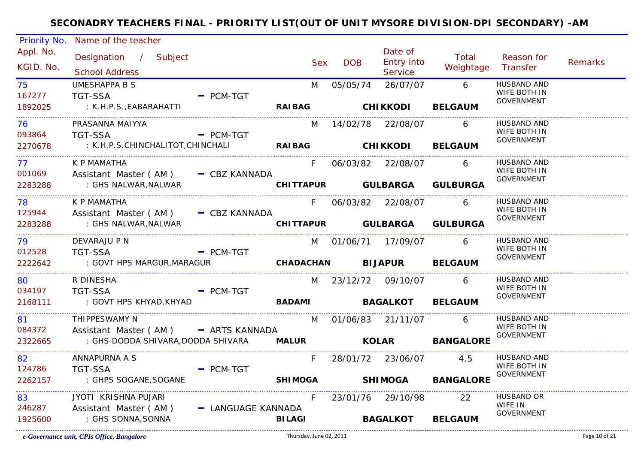| <b>Priority No.</b>    | Name of the teacher                                              |                                |            |                                  |                             |                                   |                |
|------------------------|------------------------------------------------------------------|--------------------------------|------------|----------------------------------|-----------------------------|-----------------------------------|----------------|
| Appl. No.<br>KGID. No. | Designation / Subject<br><b>School Address</b>                   | <b>Sex</b>                     | <b>DOB</b> | Date of<br>Entry into<br>Service | Total<br>Weightage Transfer | Reason for                        | <b>Remarks</b> |
| 75                     | <b>UMESHAPPA B S</b>                                             | M                              |            | 05/05/74 26/07/07                | $6\overline{6}$             | <b>HUSBAND AND</b>                |                |
| 167277                 | <b>TGT-SSA</b><br>$-$ PCM-TGT                                    |                                |            |                                  |                             | WIFE BOTH IN<br><b>GOVERNMENT</b> |                |
| 1892025                | : K.H.P.S.,EABARAHATTI                                           |                                |            | RAIBAG CHIKKODI                  | <b>BELGAUM</b>              |                                   |                |
| 76                     | PRASANNA MAIYYA                                                  |                                |            | M 14/02/78 22/08/07 6            |                             | HUSBAND AND                       |                |
| 093864                 | - PCM-TGT<br><b>TGT-SSA</b>                                      |                                |            |                                  |                             | WIFE BOTH IN                      |                |
| 2270678                | : K.H.P.S.CHINCHALITOT, CHINCHALI <b>RAIBAG CHIKKODI BELGAUM</b> |                                |            |                                  |                             | GOVERNMENT                        |                |
| 77                     | K P MAMATHA                                                      | F                              |            | 06/03/82 22/08/07                | - 6                         | HUSBAND AND                       |                |
| 001069                 | Assistant Master (AM) - CBZ KANNADA                              |                                |            |                                  |                             | WIFE BOTH IN<br>GOVERNMENT        |                |
| 2283288                | : GHS NALWAR,NALWAR                                              |                                |            |                                  | CHITTAPUR GULBARGA GULBURGA |                                   |                |
| 78                     | K P MAMATHA                                                      | $F =$                          |            | 06/03/82 22/08/07 6              |                             | HUSBAND AND                       |                |
| 125944                 | Assistant Master (AM) - CBZ KANNADA                              |                                |            |                                  |                             | WIFE BOTH IN<br><b>GOVERNMENT</b> |                |
| 2283288                | : GHS NALWAR, NALWAR                                             |                                |            |                                  | CHITTAPUR GULBARGA GULBURGA |                                   |                |
| 79                     | DEVARAJU P N                                                     |                                |            | M 01/06/71 17/09/07 6            |                             | HUSBAND AND                       |                |
| 012528                 | <b>TGT-SSA</b><br>$=$ PCM-TGT                                    |                                |            |                                  |                             | WIFE BOTH IN<br><b>GOVERNMENT</b> |                |
| 2222642                | : GOVT HPS MARGUR, MARAGUR                                       | CHADACHAN BIJAPUR BELGAUM      |            |                                  |                             |                                   |                |
| _______________<br>80  | R DINESHA                                                        |                                |            | M 23/12/72 09/10/07              | 6                           | <b>HUSBAND AND</b>                |                |
| 034197                 | TGT-SSA<br>$-$ PCM-TGT                                           |                                |            |                                  |                             | WIFE BOTH IN<br>GOVERNMENT        |                |
| 2168111                | : GOVT HPS KHYAD, KHYAD                                          | <b>BADAMI</b> BAGALKOT BELGAUM |            |                                  |                             |                                   |                |
| 81 —                   | THIPPESWAMY N                                                    | M                              |            | 01/06/83 21/11/07 6              |                             | HUSBAND AND                       |                |
| 084372                 | Assistant Master (AM) - ARTS KANNADA                             |                                |            |                                  |                             | WIFE BOTH IN<br>GOVERNMENT        |                |
| 2322665                | : GHS DODDA SHIVARA, DODDA SHIVARA MALUR <b>KOLAR BANGALORE</b>  |                                |            |                                  |                             |                                   |                |
| 82                     | ANNAPURNA A S                                                    | F                              |            | 28/01/72 23/06/07 4.5            |                             | HUSBAND AND                       |                |
| 124786                 | - PCM-TGT<br><b>TGT-SSA</b>                                      |                                |            |                                  |                             | WIFE BOTH IN<br><b>GOVERNMENT</b> |                |
| 2262157                | : GHPS SOGANE, SOGANE                                            |                                |            |                                  | SHIMOGA SHIMOGA BANGALORE   |                                   |                |
| 83                     | JYOTI KRISHNA PUJARI                                             | F.                             |            | 23/01/76 29/10/98                | 22                          | <b>HUSBAND OR</b>                 |                |
| 246287                 | Assistant Master (AM) - LANGUAGE KANNADA                         |                                |            |                                  |                             | WIFE IN<br><b>GOVERNMENT</b>      |                |
| 1925600                | : GHS SONNA, SONNA                                               | <b>BILAGI</b>                  |            | <b>BAGALKOT</b>                  | <b>BELGAUM</b>              |                                   |                |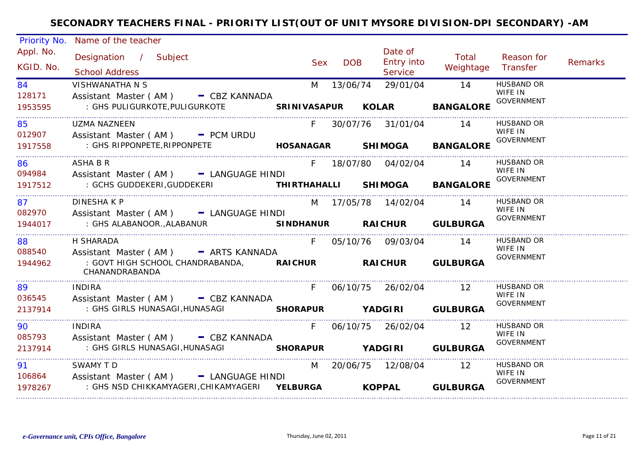| Priority No.           | Name of the teacher                                                                                         |       |            |                                         |                         |                              |         |
|------------------------|-------------------------------------------------------------------------------------------------------------|-------|------------|-----------------------------------------|-------------------------|------------------------------|---------|
| Appl. No.<br>KGID. No. | Designation / Subject<br><b>School Address</b>                                                              | Sex   | <b>DOB</b> | Date of<br><b>Entry into</b><br>Service | Total<br>Weightage      | Reason for<br>Transfer       | Remarks |
| 84                     | <b>VISHWANATHA N S</b>                                                                                      | M     |            | 13/06/74 29/01/04                       | 14                      | <b>HUSBAND OR</b><br>WIFE IN |         |
| 128171<br>1953595      | Assistant Master (AM) - CBZ KANNADA<br>: GHS PULIGURKOTE, PULIGURKOTE <b>SRINIVASAPUR KOLAR BANGALORE</b>   |       |            |                                         |                         | <b>GOVERNMENT</b>            |         |
| 85                     | <b>UZMA NAZNEEN</b>                                                                                         | F.    |            | 30/07/76 31/01/04 14                    |                         | <b>HUSBAND OR</b><br>WIFE IN |         |
| 012907<br>1917558      | Assistant Master (AM) - PCM URDU<br>: GHS RIPPONPETE, RIPPONPETE <b>The SANAGAR SHIMOGA BANGALORE</b>       |       |            |                                         |                         | <b>GOVERNMENT</b>            |         |
| 86                     | ASHA B R                                                                                                    |       |            | F 18/07/80 04/02/04 14                  |                         | HUSBAND OR<br>WIFE IN        |         |
| 094984<br>1917512      | Assistant Master (AM) - LANGUAGE HINDI<br>: GCHS GUDDEKERI, GUDDEKERI <b>THIRTHAHALLI SHIMOGA BANGALORE</b> |       |            |                                         |                         | <b>GOVERNMENT</b>            |         |
| 87                     | <b>DINESHAKP</b>                                                                                            |       |            | M 17/05/78 14/02/04 14                  |                         | <b>HUSBAND OR</b>            |         |
| 082970<br>1944017      | Assistant Master (AM) - LANGUAGE HINDI<br>: GHS ALABANOOR., ALABANUR <b>SINDHANUR RAICHUR GULBURGA</b>      |       |            |                                         |                         | WIFE IN<br>GOVERNMENT        |         |
| 88 11                  | H SHARADA                                                                                                   |       |            | F 05/10/76 09/03/04 14                  |                         | HUSBAND OR                   |         |
| 1944962                | 088540 Assistant Master (AM) - ARTS KANNADA<br>: GOVT HIGH SCHOOL CHANDRABANDA, RAICHUR<br>CHANANDRABANDA   |       |            |                                         | <b>RAICHUR GULBURGA</b> | WIFE IN<br><b>GOVERNMENT</b> |         |
| 89 - 10                | <b>INDIRA</b>                                                                                               | F.    |            | 06/10/75 26/02/04 12                    |                         | HUSBAND OR                   |         |
| 036545<br>2137914      | Assistant Master (AM) - CBZ KANNADA                                                                         |       |            |                                         |                         | WIFE IN<br>GOVERNMENT        |         |
| 90                     | <b>INDIRA</b>                                                                                               | $F =$ |            | 06/10/75 26/02/04 12                    |                         | HUSBAND OR                   |         |
| 085793<br>2137914      | Assistant Master (AM) - CBZ KANNADA                                                                         |       |            |                                         |                         | WIFE IN<br>GOVERNMENT        |         |
| 91                     | SWAMY TD                                                                                                    |       |            | M 20/06/75 12/08/04 12                  |                         | HUSBAND OR                   |         |
| 1978267                | 106864 Assistant Master (AM) - LANGUAGE HINDI                                                               |       |            |                                         | KOPPAL GULBURGA         | WIFE IN<br><b>GOVERNMENT</b> |         |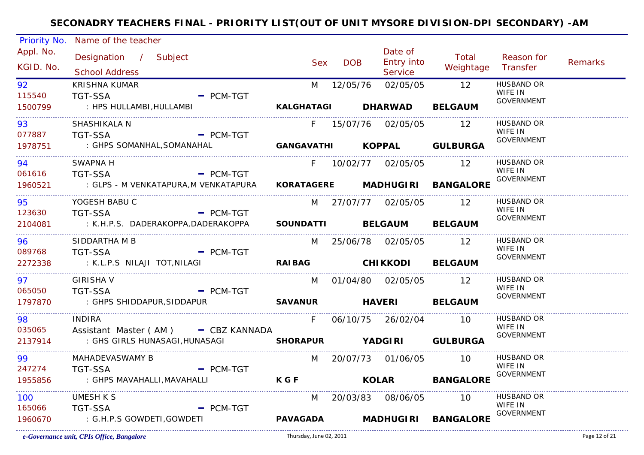| Priority No.           | Name of the teacher                                  |                 |            |                                         |                                   |                              |                |
|------------------------|------------------------------------------------------|-----------------|------------|-----------------------------------------|-----------------------------------|------------------------------|----------------|
| Appl. No.<br>KGID. No. | Designation / Subject<br><b>School Address</b>       | <b>Sex</b>      | <b>DOB</b> | Date of<br><b>Entry into</b><br>Service | Total<br>Weightage Transfer       | Reason for                   | <b>Remarks</b> |
| 92                     | <b>KRISHNA KUMAR</b>                                 |                 |            | M 12/05/76 02/05/05                     | $\overline{12}$                   | <b>HUSBAND OR</b>            |                |
| 115540                 | <b>TGT-SSA</b><br>$-$ PCM-TGT                        |                 |            |                                         |                                   | WIFE IN                      |                |
| 1500799                | : HPS HULLAMBI, HULLAMBI                             |                 |            | KALGHATAGI DHARWAD BELGAUM              |                                   | GOVERNMENT                   |                |
| 93                     | SHASHIKALA N                                         |                 |            | F 15/07/76 02/05/05 12                  |                                   | <b>HUSBAND OR</b>            |                |
| 077887                 | - PCM-TGT<br>TGT-SSA                                 |                 |            |                                         |                                   | WIFE IN                      |                |
|                        | 1978751 : GHPS SOMANHAL, SOMANAHAL                   |                 |            |                                         | GANGAVATHI KOPPAL GULBURGA        | <b>GOVERNMENT</b>            |                |
| 94                     | <b>SWAPNA H</b>                                      |                 |            | F 10/02/77 02/05/05 12                  |                                   | <b>HUSBAND OR</b>            |                |
| 061616                 | <b>TGT-SSA</b><br>$=$ PCM-TGT                        |                 |            |                                         |                                   | WIFE IN<br><b>GOVERNMENT</b> |                |
| 1960521                | : GLPS - M VENKATAPURA,M VENKATAPURA                 |                 |            |                                         | KORATAGERE MADHUGIRI BANGALORE    |                              |                |
| 95                     | YOGESH BABU C                                        |                 |            | M 27/07/77 02/05/05 12                  |                                   | <b>HUSBAND OR</b>            |                |
| 123630                 | - PCM-TGT<br><b>TGT-SSA</b>                          |                 |            |                                         |                                   | WIFE IN<br><b>GOVERNMENT</b> |                |
| 2104081                | : K.H.P.S. DADERAKOPPA,DADERAKOPPA                   |                 |            | SOUNDATTI BELGAUM BELGAUM               |                                   |                              |                |
| 96.                    | SIDDARTHA M B                                        |                 |            | M 25/06/78 02/05/05 12                  |                                   | HUSBAND OR                   |                |
| 089768                 | <b>TGT-SSA</b><br>$-$ PCM-TGT                        |                 |            |                                         |                                   | WIFE IN<br>GOVERNMENT        |                |
| 2272338                | : K.L.P.S NILAJI TOT,NILAGI                          |                 |            | RAIBAG CHIKKODI BELGAUM                 |                                   |                              |                |
| 97                     | <b>GIRISHA V</b>                                     |                 |            | M 01/04/80 02/05/05 12                  |                                   | <b>HUSBAND OR</b>            |                |
| 065050                 | <b>TGT-SSA</b><br>$-$ PCM-TGT                        |                 |            |                                         |                                   | WIFE IN<br>GOVERNMENT        |                |
| 1797870                | SAVANUR HAVERI BELGAUM<br>: GHPS SHIDDAPUR, SIDDAPUR |                 |            |                                         |                                   |                              |                |
| 98                     | <b>INDIRA</b>                                        | F               |            | 06/10/75 26/02/04 10                    |                                   | HUSBAND OR                   |                |
| 035065                 | Assistant Master (AM) - CBZ KANNADA                  |                 |            |                                         |                                   | WIFE IN<br>GOVERNMENT        |                |
| 2137914                |                                                      |                 |            |                                         |                                   |                              |                |
| 99                     | MAHADEVASWAMY B                                      |                 |            | M 20/07/73 01/06/05 10                  |                                   | <b>HUSBAND OR</b>            |                |
| 247274                 | <b>TGT-SSA</b><br>$-$ PCM-TGT                        |                 |            |                                         |                                   | WIFE IN<br><b>GOVERNMENT</b> |                |
| 1955856                | : GHPS MAVAHALLI, MAVAHALLI                          | <b>KGF</b>      |            |                                         | <b>KOLAR BANGALORE</b>            |                              |                |
| 100                    | <b>UMESH K S</b>                                     |                 |            | M 20/03/83 08/06/05 10                  | _________________________________ | <b>HUSBAND OR</b>            |                |
| 165066                 | $=$ PCM-TGT<br><b>TGT-SSA</b>                        |                 |            |                                         |                                   | WIFE IN<br><b>GOVERNMENT</b> |                |
| 1960670                | : G.H.P.S GOWDETI,GOWDETI                            | <b>PAVAGADA</b> |            |                                         | MADHUGIRI BANGALORE               |                              |                |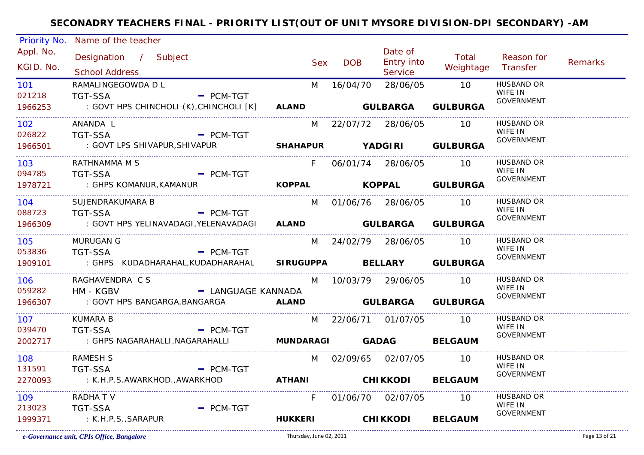| Priority No.           | Name of the teacher                                                  |                    |                         |            |                                         |                             |                              |                |
|------------------------|----------------------------------------------------------------------|--------------------|-------------------------|------------|-----------------------------------------|-----------------------------|------------------------------|----------------|
| Appl. No.<br>KGID. No. | Designation / Subject<br><b>School Address</b>                       |                    | Sex                     | <b>DOB</b> | Date of<br><b>Entry into</b><br>Service | Total<br>Weightage Transfer | Reason for                   | <b>Remarks</b> |
| 101                    | RAMALINGEGOWDA D L                                                   |                    | M                       |            | 16/04/70 28/06/05                       | $\overline{10}$             | <b>HUSBAND OR</b>            |                |
| 021218                 | <b>TGT-SSA</b>                                                       | $=$ PCM-TGT        |                         |            |                                         |                             | WIFE IN                      |                |
| 1966253                | : GOVT HPS CHINCHOLI (K), CHINCHOLI [K] ALAND <b>GULBARGA</b>        |                    |                         |            |                                         | <b>GULBURGA</b>             | <b>GOVERNMENT</b>            |                |
| .<br>102               | ANANDA L                                                             |                    |                         |            | M 22/07/72 28/06/05 10                  |                             | <b>HUSBAND OR</b>            |                |
| 026822                 | <b>TGT-SSA</b>                                                       | $=$ PCM-TGT        |                         |            |                                         |                             | WIFE IN<br><b>GOVERNMENT</b> |                |
| 1966501                | : GOVT LPS SHIVAPUR, SHIVAPUR                                        |                    |                         |            |                                         | SHAHAPUR YADGIRI GULBURGA   |                              |                |
| 103                    | RATHNAMMA M S                                                        |                    | F                       |            | 06/01/74 28/06/05 10                    |                             | <b>HUSBAND OR</b><br>WIFE IN |                |
| 094785                 | <b>TGT-SSA</b><br>$\blacksquare$ PCM-TGT                             |                    |                         |            |                                         |                             | <b>GOVERNMENT</b>            |                |
| 1978721                | : GHPS KOMANUR,KAMANUR                                               |                    |                         |            |                                         | KOPPAL KOPPAL GULBURGA      |                              |                |
| 104                    | SUJENDRAKUMARA B                                                     |                    |                         |            | M 01/06/76 28/06/05 10                  |                             | <b>HUSBAND OR</b>            |                |
| 088723                 | <b>TGT-SSA</b>                                                       | $=$ PCM-TGT        |                         |            |                                         |                             | WIFE IN<br><b>GOVERNMENT</b> |                |
| 1966309                | : GOVT HPS YELINAVADAGI, YELENAVADAGI ALAND <b>GULBARGA GULBURGA</b> |                    |                         |            |                                         |                             |                              |                |
| 105                    | <b>MURUGAN G</b>                                                     |                    |                         |            | M 24/02/79 28/06/05 10                  |                             | <b>HUSBAND OR</b>            |                |
| 053836                 | <b>TGT-SSA</b>                                                       | $=$ PCM-TGT        |                         |            |                                         |                             | WIFE IN<br><b>GOVERNMENT</b> |                |
| 1909101                | : GHPS KUDADHARAHAL, KUDADHARAHAL SIRUGUPPA BELLARY GULBURGA         |                    |                         |            |                                         |                             |                              |                |
| 106 —                  | RAGHAVENDRA C S                                                      |                    |                         |            | M 10/03/79 29/06/05 10                  |                             | HUSBAND OR<br>WIFE IN        |                |
| 059282                 | HM - KGBV                                                            | - LANGUAGE KANNADA |                         |            |                                         |                             | <b>GOVERNMENT</b>            |                |
| 1966307                | : GOVT HPS BANGARGA, BANGARGA <b>ALAND</b>                           |                    |                         |            |                                         | <b>GULBARGA GULBURGA</b>    |                              |                |
| 107                    | <b>KUMARA B</b>                                                      |                    |                         |            | M 22/06/71 01/07/05 10                  |                             | HUSBAND OR<br>WIFE IN        |                |
| 039470                 | <b>TGT-SSA</b>                                                       | $-$ PCM-TGT        |                         |            |                                         |                             | <b>GOVERNMENT</b>            |                |
| 2002717                | : GHPS NAGARAHALLI, NAGARAHALLI <b>MUNDARAGI               GADAG</b> |                    |                         |            |                                         | <b>BELGAUM</b>              |                              |                |
| 108                    | <b>RAMESH S</b>                                                      |                    |                         |            | M 02/09/65 02/07/05 10                  |                             | HUSBAND OR                   |                |
| 131591                 | <b>TGT-SSA</b>                                                       | $-$ PCM-TGT        |                         |            |                                         |                             | WIFE IN<br><b>GOVERNMENT</b> |                |
| 2270093                | : K.H.P.S.AWARKHOD.,AWARKHOD                                         |                    | ATHANI CHIKKODI BELGAUM |            |                                         |                             |                              |                |
| 109 - 109              | <b>RADHATV</b>                                                       |                    | $F =$                   |            | 01/06/70 02/07/05 10                    |                             | <b>HUSBAND OR</b>            |                |
| 213023                 | <b>TGT-SSA</b>                                                       | $-$ PCM-TGT        |                         |            |                                         |                             | WIFE IN<br><b>GOVERNMENT</b> |                |
| 1999371                | : K.H.P.S., SARAPUR                                                  |                    | <b>HUKKERI</b>          |            | <b>CHIKKODI</b>                         | <b>BELGAUM</b>              |                              |                |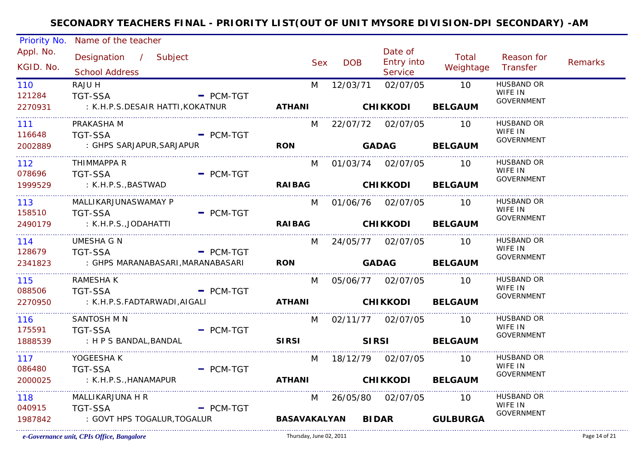| Priority No.           | Name of the teacher                            |             |                             |            |                                  |                             |                              |                |
|------------------------|------------------------------------------------|-------------|-----------------------------|------------|----------------------------------|-----------------------------|------------------------------|----------------|
| Appl. No.<br>KGID. No. | Designation / Subject<br><b>School Address</b> |             | <b>Sex</b>                  | <b>DOB</b> | Date of<br>Entry into<br>Service | Total<br>Weightage Transfer | Reason for                   | <b>Remarks</b> |
| 110                    | RAJU H                                         |             | M                           | 12/03/71   | 02/07/05                         | 10                          | <b>HUSBAND OR</b>            |                |
| 121284                 | <b>TGT-SSA</b>                                 | $=$ PCM-TGT |                             |            |                                  |                             | WIFE IN<br><b>GOVERNMENT</b> |                |
| 2270931                | : K.H.P.S.DESAIR HATTI, KOKATNUR               |             | ATHANI CHIKKODI BELGAUM     |            |                                  |                             |                              |                |
| .<br>111               | PRAKASHA M                                     |             |                             |            | M 22/07/72 02/07/05              | 10                          | <b>HUSBAND OR</b>            |                |
| 116648                 | <b>TGT-SSA</b>                                 | - PCM-TGT   |                             |            |                                  |                             | WIFE IN<br>GOVERNMENT        |                |
| 2002889                | : GHPS SARJAPUR, SARJAPUR                      |             | <b>RON</b>                  |            |                                  | GADAG BELGAUM               |                              |                |
| 112                    | THIMMAPPA R                                    |             |                             |            | M 01/03/74 02/07/05 10           |                             | HUSBAND OR                   |                |
| 078696                 | <b>TGT-SSA</b>                                 | $-$ PCM-TGT |                             |            |                                  |                             | WIFE IN<br>GOVERNMENT        |                |
| 1999529                | : K.H.P.S.,BASTWAD                             |             | RAIBAG CHIKKODI BELGAUM     |            |                                  |                             |                              |                |
| 113                    | MALLIKARJUNASWAMAY P                           |             |                             |            | M 01/06/76 02/07/05 10           |                             | <b>HUSBAND OR</b>            |                |
| 158510                 | <b>TGT-SSA</b>                                 | $-$ PCM-TGT |                             |            |                                  |                             | WIFE IN<br><b>GOVERNMENT</b> |                |
| 2490179                | : K.H.P.S.,JODAHATTI                           |             | RAIBAG CHIKKODI BELGAUM     |            |                                  |                             |                              |                |
| 114                    | UMESHA G N                                     |             |                             |            | M 24/05/77 02/07/05 10           |                             | <b>HUSBAND OR</b>            |                |
| 128679                 | <b>TGT-SSA</b>                                 | $-$ PCM-TGT |                             |            |                                  |                             | WIFE IN<br><b>GOVERNMENT</b> |                |
| 2341823                | : GHPS MARANABASARI, MARANABASARI              |             | <b>RON</b>                  |            | <b>GADAG BELGAUM</b>             |                             |                              |                |
| 115                    | RAMESHA K                                      |             |                             |            | M 05/06/77 02/07/05 10           |                             | <b>HUSBAND OR</b>            |                |
| 088506                 | <b>TGT-SSA</b>                                 | $-$ PCM-TGT |                             |            |                                  |                             | WIFE IN<br>GOVERNMENT        |                |
| 2270950                | : K.H.P.S.FADTARWADI,AIGALI                    |             | ATHANI CHIKKODI BELGAUM     |            |                                  |                             |                              |                |
| 116                    | <b>SANTOSH M N</b>                             |             |                             |            | M 02/11/77 02/07/05              | - 10                        | <b>HUSBAND OR</b>            |                |
| 175591                 | <b>TGT-SSA</b>                                 | $=$ PCM-TGT |                             |            |                                  |                             | WIFE IN<br><b>GOVERNMENT</b> |                |
| 1888539                | : H P S BANDAL, BANDAL                         |             | <b>SIRSI</b>                |            | <b>SIRSI</b>                     | <b>BELGAUM</b>              |                              |                |
| 117                    | YOGEESHA K                                     |             |                             |            | M 18/12/79 02/07/05 10           |                             | <b>HUSBAND OR</b>            |                |
| 086480                 | <b>TGT-SSA</b>                                 | $=$ PCM-TGT |                             |            |                                  |                             | WIFE IN<br><b>GOVERNMENT</b> |                |
| 2000025                | : K.H.P.S., HANAMAPUR                          |             | ATHANI CHIKKODI BELGAUM     |            |                                  |                             |                              |                |
| 118                    | MALLIKARJUNA H R                               |             |                             |            | M 26/05/80 02/07/05 10           |                             | HUSBAND OR                   |                |
| 040915                 | <b>TGT-SSA</b>                                 | $=$ PCM-TGT |                             |            |                                  |                             | WIFE IN<br><b>GOVERNMENT</b> |                |
| 1987842                | : GOVT HPS TOGALUR, TOGALUR                    |             | BASAVAKALYAN BIDAR GULBURGA |            |                                  |                             |                              |                |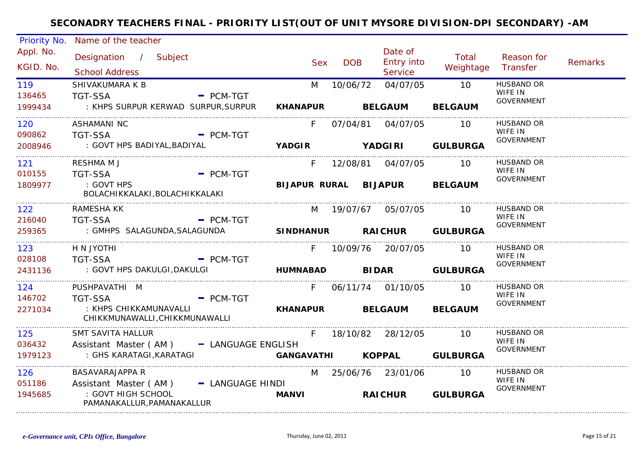| Priority No.           | Name of the teacher                                                              |                  |                 |            |                                         |                    |                                                   |         |
|------------------------|----------------------------------------------------------------------------------|------------------|-----------------|------------|-----------------------------------------|--------------------|---------------------------------------------------|---------|
| Appl. No.<br>KGID. No. | Designation / Subject<br><b>School Address</b>                                   |                  | <b>Sex</b>      | <b>DOB</b> | Date of<br>Entry into<br><b>Service</b> | Total<br>Weightage | Reason for<br>Transfer                            | Remarks |
| 119<br>136465          | SHIVAKUMARA K B<br><b>TGT-SSA</b>                                                | $=$ PCM-TGT      | M               | 10/06/72   | 04/07/05                                | 10                 | <b>HUSBAND OR</b><br>WIFE IN<br><b>GOVERNMENT</b> |         |
| 1999434<br>.           | : KHPS SURPUR KERWAD SURPUR, SURPUR                                              |                  |                 |            | KHANAPUR BELGAUM                        | <b>BELGAUM</b>     |                                                   |         |
| 120<br>090862          | ASHAMANI NC<br><b>TGT-SSA</b>                                                    | $=$ PCM-TGT      | F.              |            | 07/04/81 04/07/05                       | 10                 | HUSBAND OR<br>WIFE IN                             |         |
| 2008946                | : GOVT HPS BADIYAL, BADIYAL                                                      |                  |                 |            | YADGIR YADGIRI GULBURGA                 |                    | <b>GOVERNMENT</b>                                 |         |
| 121<br>010155          | RESHMA M J<br><b>TGT-SSA</b>                                                     | $-$ PCM-TGT      |                 |            | F 12/08/81 04/07/05                     | - 10               | <b>HUSBAND OR</b><br>WIFE IN                      |         |
| 1809977                | : GOVT HPS<br>BOLACHIKKALAKI, BOLACHIKKALAKI                                     |                  |                 |            | BIJAPUR RURAL BIJAPUR BELGAUM           |                    | <b>GOVERNMENT</b>                                 |         |
| 122                    | RAMESHA KK                                                                       |                  |                 |            | M 19/07/67 05/07/05                     | - 10               | HUSBAND OR<br>WIFE IN                             |         |
| 216040<br>259365       | <b>TGT-SSA</b><br>: GMHPS SALAGUNDA, SALAGUNDA <b>SINDHANUR RAICHUR GULBURGA</b> | $-$ PCM-TGT      |                 |            |                                         |                    | <b>GOVERNMENT</b>                                 |         |
| 123                    | H N JYOTHI                                                                       |                  | F.              |            | 10/09/76 20/07/05 10                    |                    | HUSBAND OR                                        |         |
| 028108<br>2431136      | <b>TGT-SSA</b>                                                                   | $=$ PCM-TGT      |                 |            |                                         |                    | WIFE IN<br><b>GOVERNMENT</b>                      |         |
| 124<br>146702          | PUSHPAVATHI M<br><b>TGT-SSA</b>                                                  | $-$ PCM-TGT      | F               |            | 06/11/74 01/10/05 10                    |                    | HUSBAND OR<br>WIFE IN                             |         |
| 2271034                | : KHPS CHIKKAMUNAVALLI<br>CHIKKMUNAWALLI, CHIKKMUNAWALLI                         |                  | <b>KHANAPUR</b> |            | <b>BELGAUM</b>                          | <b>BELGAUM</b>     | GOVERNMENT                                        |         |
| 125<br>036432          | SMT SAVITA HALLUR<br>Assistant Master (AM) - LANGUAGE ENGLISH                    |                  |                 |            | F 18/10/82 28/12/05                     | 10                 | HUSBAND OR<br>WIFE IN                             |         |
| 1979123                | : GHS KARATAGI, KARATAGI                                                         |                  |                 |            | GANGAVATHI KOPPAL GULBURGA              |                    | <b>GOVERNMENT</b>                                 |         |
| 126<br>051186          | <b>BASAVARAJAPPA R</b><br>Assistant Master (AM)                                  | - LANGUAGE HINDI |                 |            | M 25/06/76 23/01/06                     | 10                 | <b>HUSBAND OR</b><br>WIFE IN                      |         |
| 1945685                | : GOVT HIGH SCHOOL<br>PAMANAKALLUR, PAMANAKALLUR                                 |                  | <b>MANVI</b>    |            | RAICHUR GULBURGA                        |                    | GOVERNMENT                                        |         |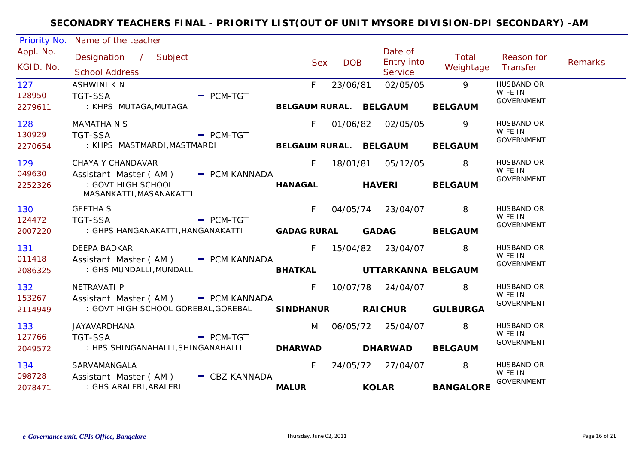| Priority No.           | Name of the teacher                                                              |                        |               |                                                |                            |                                                   |                |
|------------------------|----------------------------------------------------------------------------------|------------------------|---------------|------------------------------------------------|----------------------------|---------------------------------------------------|----------------|
| Appl. No.<br>KGID. No. | Designation / Subject<br><b>School Address</b>                                   | <b>Sex</b>             | <b>DOB</b>    | Date of<br><b>Entry into</b><br><b>Service</b> | Total<br>Weightage         | Reason for<br>Transfer                            | <b>Remarks</b> |
| 127<br>128950          | <b>ASHWINI K N</b><br><b>TGT-SSA</b><br>$-$ PCM-TGT                              | F.                     | 23/06/81      | 02/05/05                                       | 9                          | <b>HUSBAND OR</b><br>WIFE IN<br><b>GOVERNMENT</b> |                |
| 2279611                | : KHPS MUTAGA,MUTAGA                                                             | BELGAUM RURAL. BELGAUM |               |                                                | <b>BELGAUM</b>             |                                                   |                |
| 128<br>130929          | <b>MAMATHA N S</b><br>$\blacksquare$ PCM-TGT<br><b>TGT-SSA</b>                   | F.                     |               | 01/06/82 02/05/05                              | 9                          | HUSBAND OR<br>WIFE IN                             |                |
| 2270654                | : KHPS MASTMARDI, MASTMARDI                   BELGAUM RURAL. BELGAUM     BELGAUM |                        |               |                                                |                            | GOVERNMENT                                        |                |
| 129<br>049630          | CHAYA Y CHANDAVAR<br>Assistant Master (AM) - PCM KANNADA                         | F                      |               | 18/01/81  05/12/05                             | $\overline{\phantom{0}}$ 8 | HUSBAND OR<br>WIFE IN                             |                |
| 2252326                | : GOVT HIGH SCHOOL<br>MASANKATTI, MASANAKATTI                                    | <b>HANAGAL</b>         | <b>HAVERI</b> |                                                | <b>BELGAUM</b>             | GOVERNMENT                                        |                |
| 130<br>124472          | <b>GEETHA S</b><br>$\overline{P}$ PCM-TGT<br><b>TGT-SSA</b>                      | $F =$                  |               | 04/05/74 23/04/07 8                            |                            | <b>HUSBAND OR</b><br>WIFE IN<br>GOVERNMENT        |                |
| 2007220                |                                                                                  |                        |               |                                                |                            |                                                   |                |
| 131<br>011418          | DEEPA BADKAR<br>Assistant Master (AM) - PCM KANNADA                              |                        |               | F 15/04/82 23/04/07 8                          |                            | HUSBAND OR<br>WIFE IN                             |                |
| 2086325                | : GHS MUNDALLI,MUNDALLI                                                          | <b>BHATKAL</b>         |               | UTTARKANNA BELGAUM                             |                            | GOVERNMENT                                        |                |
| 132<br>153267          | NETRAVATI P<br>Assistant Master (AM) - PCM KANNADA                               |                        |               | F 10/07/78 24/04/07 8                          |                            | HUSBAND OR<br>WIFE IN                             |                |
| 2114949                | : GOVT HIGH SCHOOL GOREBAL, GOREBAL SINDHANUR RAICHUR GULBURGA                   |                        |               |                                                |                            | <b>GOVERNMENT</b>                                 |                |
| 133                    | JAYAVARDHANA                                                                     |                        |               | M 06/05/72 25/04/07                            | 8                          | HUSBAND OR<br>WIFE IN                             |                |
| 127766<br>2049572      | <b>TGT-SSA</b><br>$\overline{\phantom{a}}$ PCM-TGT                               |                        |               |                                                | <b>BELGAUM</b>             | GOVERNMENT                                        |                |
| 134<br>098728          | SARVAMANGALA<br>Assistant Master (AM) - CBZ KANNADA                              | F                      |               | 24/05/72 27/04/07                              | $\overline{8}$             | HUSBAND OR<br>WIFE IN                             |                |
| 2078471                | : GHS ARALERI,ARALERI                                                            | <b>MALUR</b>           |               | <b>KOLAR</b>                                   | <b>BANGALORE</b>           | <b>GOVERNMENT</b>                                 |                |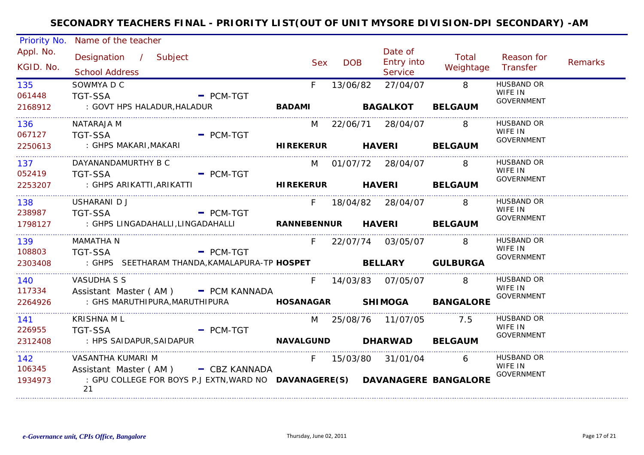| Priority No.           | Name of the teacher                                                                                                      |                                                                                                          |            |            |                                  |                             |                                                   |                |
|------------------------|--------------------------------------------------------------------------------------------------------------------------|----------------------------------------------------------------------------------------------------------|------------|------------|----------------------------------|-----------------------------|---------------------------------------------------|----------------|
| Appl. No.<br>KGID. No. | Designation / Subject<br><b>School Address</b>                                                                           |                                                                                                          | <b>Sex</b> | <b>DOB</b> | Date of<br>Entry into<br>Service | Total<br>Weightage          | Reason for<br>Transfer                            | <b>Remarks</b> |
| 135<br>061448          | SOWMYA D C<br><b>TGT-SSA</b>                                                                                             | $=$ PCM-TGT                                                                                              | F.         | 13/06/82   | 27/04/07                         | 8                           | <b>HUSBAND OR</b><br>WIFE IN<br><b>GOVERNMENT</b> |                |
| 2168912                | : GOVT HPS HALADUR, HALADUR                                                                                              | <b>EXAMPLE AND READ AMPLE AND READ AMPLE AND AMPLE AND AMPLE AND AMPLE AND READ AMPLE AND READ AMPLE</b> |            |            | <b>BAGALKOT</b>                  | <b>BELGAUM</b>              |                                                   |                |
| 136<br>067127          | NATARAJA M<br><b>TGT-SSA</b><br><b>Example 2</b> PCM-TGT                                                                 |                                                                                                          |            |            | M 22/06/71 28/04/07              | $\overline{\phantom{0}}$ 8  | <b>HUSBAND OR</b><br>WIFE IN                      |                |
| 2250613                | : GHPS MAKARI,MAKARI                                                                                                     | <b>HIREKERUR</b> HAVERI                                                                                  |            |            |                                  | <b>BELGAUM</b>              | <b>GOVERNMENT</b>                                 |                |
| 137<br>052419          | DAYANANDAMURTHY B C<br>TGT-SSA<br>$\overline{\phantom{a}}$ PCM-TGT                                                       |                                                                                                          |            |            | M 01/07/72 28/04/07 8            |                             | <b>HUSBAND OR</b><br>WIFE IN                      |                |
| 2253207                | : GHPS ARIKATTI, ARIKATTI <b>ARIKATTI ARIKAT HUREKERUR</b> HAVERI BELGAUM                                                |                                                                                                          |            |            |                                  |                             | <b>GOVERNMENT</b>                                 |                |
| 138<br>238987          | USHARANI D J<br>$-$ PCM-TGT<br><b>TGT-SSA</b>                                                                            |                                                                                                          |            |            | F 18/04/82 28/04/07 8            |                             | <b>HUSBAND OR</b><br>WIFE IN                      |                |
| 1798127                | : GHPS LINGADAHALLI, LINGADAHALLI <b>NANNEBENNUR HAVERI BELGAUM</b>                                                      |                                                                                                          |            |            |                                  |                             | GOVERNMENT                                        |                |
| 139<br>108803          | MAMATHA N<br><b>TGT-SSA</b>                                                                                              | $=$ PCM-TGT                                                                                              | F.         |            | 22/07/74 03/05/07                | 8                           | <b>HUSBAND OR</b><br>WIFE IN                      |                |
| 2303408                | : GHPS SEETHARAM THANDA, KAMALAPURA-TP HOSPET BELLARY GULBURGA                                                           |                                                                                                          |            |            |                                  |                             | GOVERNMENT                                        |                |
| 140<br>117334          | VASUDHA S S<br>Assistant Master (AM) - PCM KANNADA                                                                       |                                                                                                          |            |            | F 14/03/83 07/05/07              | 8 <sup>-1</sup>             | HUSBAND OR<br>WIFE IN                             |                |
| 2264926                | : GHS MARUTHIPURA,MARUTHIPURA                                                                                            |                                                                                                          |            |            |                                  | HOSANAGAR SHIMOGA BANGALORE | <b>GOVERNMENT</b>                                 |                |
| 141                    | KRISHNA ML                                                                                                               |                                                                                                          |            |            | M 25/08/76 11/07/05              | 7.5                         | HUSBAND OR<br>WIFE IN                             |                |
| 226955<br>2312408      | <b>TGT-SSA</b><br>: HPS SAIDAPUR, SAIDAPUR                                                                               | $=$ PCM-TGT                                                                                              |            |            | NAVALGUND DHARWAD BELGAUM        |                             | GOVERNMENT                                        |                |
| 142<br>106345          | VASANTHA KUMARI M                                                                                                        |                                                                                                          |            |            | F 15/03/80 31/01/04 6            |                             | <b>HUSBAND OR</b><br>WIFE IN                      |                |
| 1934973                | Assistant Master (AM) - CBZ KANNADA<br>: GPU COLLEGE FOR BOYS P.J EXTN, WARD NO DAVANAGERE(S) DAVANAGERE BANGALORE<br>21 |                                                                                                          |            |            |                                  |                             | <b>GOVERNMENT</b>                                 |                |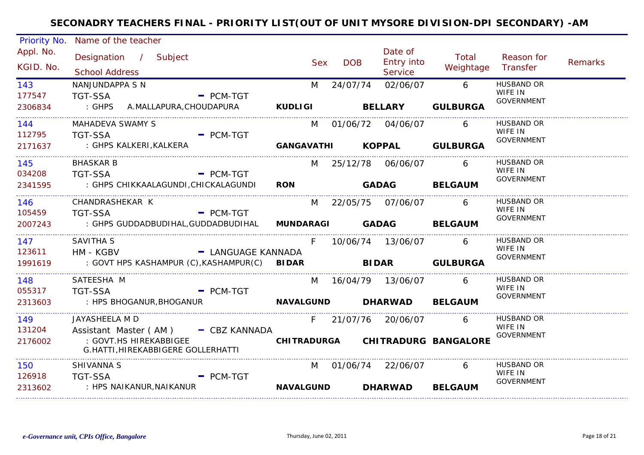| Priority No.           | Name of the teacher                                                                    |                           |                  |            |            |                                  |                                  |                              |                |
|------------------------|----------------------------------------------------------------------------------------|---------------------------|------------------|------------|------------|----------------------------------|----------------------------------|------------------------------|----------------|
| Appl. No.<br>KGID. No. | Designation / Subject<br><b>School Address</b>                                         |                           |                  | <b>Sex</b> | <b>DOB</b> | Date of<br>Entry into<br>Service | Total<br>Weightage               | Reason for<br>Transfer       | <b>Remarks</b> |
| 143                    | NANJUNDAPPA S N                                                                        |                           |                  | M          | 24/07/74   | 02/06/07                         | $6\overline{6}$                  | <b>HUSBAND OR</b>            |                |
| 177547                 | TGT-SSA                                                                                | $-$ PCM-TGT               |                  |            |            |                                  |                                  | WIFE IN<br>GOVERNMENT        |                |
| 2306834                | : GHPS A.MALLAPURA,CHOUDAPURA KUDLIGI BELLARY                                          |                           |                  |            |            |                                  | <b>GULBURGA</b>                  |                              |                |
| 144                    | MAHADEVA SWAMY S                                                                       |                           |                  |            |            | M 01/06/72 04/06/07              | 6                                | <b>HUSBAND OR</b>            |                |
| 112795                 | <b>TGT-SSA</b><br>$\blacksquare$ PCM-TGT                                               |                           |                  |            |            |                                  |                                  | WIFE IN<br><b>GOVERNMENT</b> |                |
| 2171637                | : GHPS KALKERI, KALKERA                       GANGAVATHI         KOPPAL       GULBURGA |                           |                  |            |            |                                  |                                  |                              |                |
| 145                    | <b>BHASKAR B</b>                                                                       |                           |                  |            |            | M 25/12/78 06/06/07 6            |                                  | <b>HUSBAND OR</b>            |                |
| 034208                 | TGT-SSA<br>$\overline{\phantom{a}}$ PCM-TGT                                            |                           |                  |            |            |                                  |                                  | WIFE IN<br>GOVERNMENT        |                |
| 2341595                | : GHPS CHIKKAALAGUNDI, CHICKALAGUNDI RON GADAG BELGAUM                                 |                           |                  |            |            |                                  |                                  |                              |                |
| 146                    | CHANDRASHEKAR K                                                                        |                           |                  |            |            | M 22/05/75 07/06/07 6            |                                  | <b>HUSBAND OR</b>            |                |
| 105459                 | <b>Example 2</b> PCM-TGT<br>TGT-SSA                                                    |                           |                  |            |            |                                  |                                  | WIFE IN<br><b>GOVERNMENT</b> |                |
| 2007243                | : GHPS GUDDADBUDIHAL, GUDDADBUDIHAL MUNDARAGI GADAG BELGAUM                            |                           |                  |            |            |                                  |                                  |                              |                |
| 147                    | <b>SAVITHA S</b>                                                                       |                           |                  | F          |            | 10/06/74 13/06/07 6              |                                  | HUSBAND OR                   |                |
| 123611                 | HM - KGBV                                                                              | - LANGUAGE KANNADA        |                  |            |            |                                  |                                  | WIFE IN<br>GOVERNMENT        |                |
| 1991619                | : GOVT HPS KASHAMPUR (C), KASHAMPUR(C) BIDAR                                           |                           |                  |            |            | <b>BIDAR</b> GULBURGA            |                                  |                              |                |
| 148 — 148              | SATEESHA M                                                                             |                           |                  |            |            | M 16/04/79 13/06/07              | 6                                | <b>HUSBAND OR</b>            |                |
| 055317                 | - PCM-TGT<br>TGT-SSA                                                                   |                           |                  |            |            |                                  |                                  | WIFE IN<br><b>GOVERNMENT</b> |                |
| 2313603<br>.           | : HPS BHOGANUR, BHOGANUR                                                               | NAVALGUND DHARWAD BELGAUM |                  |            |            |                                  |                                  |                              |                |
| 149                    | JAYASHEELA M D                                                                         |                           |                  |            |            | F 21/07/76 20/06/07              | 6                                | <b>HUSBAND OR</b>            |                |
| 131204                 | Assistant Master (AM) - CBZ KANNADA                                                    |                           |                  |            |            |                                  |                                  | WIFE IN<br><b>GOVERNMENT</b> |                |
| 2176002                | : GOVT.HS HIREKABBIGEE<br>G.HATTI, HIREKABBIGERE GOLLERHATTI                           |                           |                  |            |            |                                  | CHITRADURGA CHITRADURG BANGALORE |                              |                |
| 150                    | SHIVANNA S                                                                             |                           |                  |            |            | M 01/06/74 22/06/07 6            |                                  | HUSBAND OR                   |                |
| 126918                 | <b>TGT-SSA</b>                                                                         | $=$ PCM-TGT               |                  |            |            |                                  |                                  | WIFE IN<br><b>GOVERNMENT</b> |                |
| 2313602                | : HPS NAIKANUR,NAIKANUR                                                                |                           | <b>NAVALGUND</b> |            |            | <b>DHARWAD</b>                   | <b>BELGAUM</b>                   |                              |                |
|                        |                                                                                        |                           |                  |            |            |                                  |                                  |                              |                |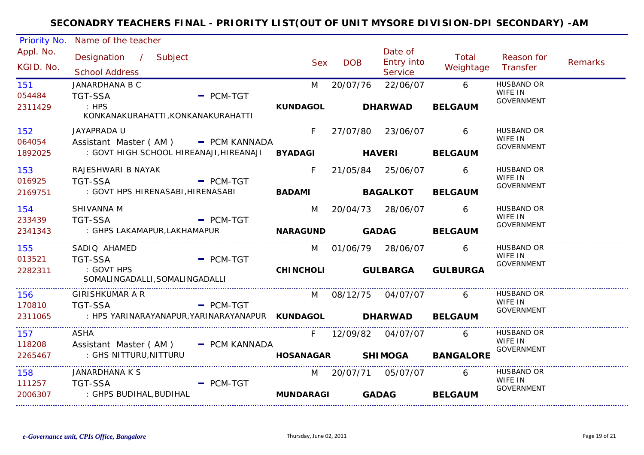| <b>Priority No.</b>            | Name of the teacher                                      |                  |            |                                                |                    |                              |                |
|--------------------------------|----------------------------------------------------------|------------------|------------|------------------------------------------------|--------------------|------------------------------|----------------|
| Appl. No.<br>KGID. No.         | Designation / Subject<br><b>School Address</b>           | <b>Sex</b>       | <b>DOB</b> | Date of<br><b>Entry into</b><br><b>Service</b> | Total<br>Weightage | Reason for<br>Transfer       | <b>Remarks</b> |
| 151                            | <b>JANARDHANA B C</b>                                    | M                | 20/07/76   | 22/06/07                                       | 6                  | <b>HUSBAND OR</b>            |                |
| 054484                         | <b>TGT-SSA</b><br>$=$ PCM-TGT                            |                  |            |                                                |                    | WIFE IN<br><b>GOVERNMENT</b> |                |
| 2311429                        | $\mathbf{H}$ : HPS<br>KONKANAKURAHATTI, KONKANAKURAHATTI | <b>KUNDAGOL</b>  |            | <b>DHARWAD</b>                                 | <b>BELGAUM</b>     |                              |                |
| 152                            | JAYAPRADA U                                              |                  |            | F 27/07/80 23/06/07                            | 6                  | <b>HUSBAND OR</b>            |                |
| 064054                         | Assistant Master (AM) - PCM KANNADA                      |                  |            |                                                |                    | WIFE IN<br><b>GOVERNMENT</b> |                |
| 1892025                        | : GOVT HIGH SCHOOL HIREANAJI, HIREANAJI BYADAGI HAVERI   |                  |            |                                                | <b>BELGAUM</b>     |                              |                |
| ____________________<br>153    | RAJESHWARI B NAYAK                                       | F.               |            | 21/05/84 25/06/07                              | 6                  | <b>HUSBAND OR</b>            |                |
| 016925                         | <b>TGT-SSA</b><br>$-$ PCM-TGT                            |                  |            |                                                |                    | WIFE IN<br><b>GOVERNMENT</b> |                |
| 2169751                        | : GOVT HPS HIRENASABI, HIRENASABI                        |                  |            | <b>BADAMI BAGALKOT</b>                         | <b>BELGAUM</b>     |                              |                |
| _______________________<br>154 | SHIVANNA M                                               |                  |            | M 20/04/73 28/06/07                            | 6                  | HUSBAND OR                   |                |
| 233439                         | <b>TGT-SSA</b><br>$=$ PCM-TGT                            |                  |            |                                                |                    | WIFE IN<br><b>GOVERNMENT</b> |                |
| 2341343                        | : GHPS LAKAMAPUR,LAKHAMAPUR                              |                  |            | NARAGUND GADAG                                 | <b>BELGAUM</b>     |                              |                |
| 155                            | SADIO AHAMED                                             |                  |            | M 01/06/79 28/06/07                            | 6                  | <b>HUSBAND OR</b>            |                |
| 013521                         | <b>TGT-SSA</b><br>$=$ PCM-TGT                            |                  |            |                                                |                    | WIFE IN<br><b>GOVERNMENT</b> |                |
| 2282311                        | : GOVT HPS<br>SOMALINGADALLI, SOMALINGADALLI             |                  |            | CHINCHOLI GULBARGA                             | <b>GULBURGA</b>    |                              |                |
|                                |                                                          |                  |            |                                                |                    |                              |                |
| 156                            | GIRISHKUMAR A R                                          | M                |            | 08/12/75 04/07/07                              | 6                  | HUSBAND OR<br>WIFE IN        |                |
| 170810                         | <b>TGT-SSA</b><br>$-$ PCM-TGT                            |                  |            |                                                |                    | GOVERNMENT                   |                |
| 2311065                        | : HPS YARINARAYANAPUR, YARINARAYANAPUR KUNDAGOL DHARWAD  |                  |            |                                                | <b>BELGAUM</b>     |                              |                |
| 157                            | ASHA                                                     | F.               |            | 12/09/82 04/07/07                              | 6                  | HUSBAND OR                   |                |
| 118208                         | Assistant Master (AM)<br>- PCM KANNADA                   |                  |            |                                                |                    | WIFE IN<br><b>GOVERNMENT</b> |                |
| 2265467                        | : GHS NITTURU,NITTURU                                    | <b>HOSANAGAR</b> |            | <b>SHIMOGA</b>                                 | <b>BANGALORE</b>   |                              |                |
| 158                            | JANARDHANA K S                                           |                  |            | M 20/07/71 05/07/07                            | 6                  | <b>HUSBAND OR</b>            |                |
| 111257                         | <b>TGT-SSA</b><br>$=$ PCM-TGT                            |                  |            |                                                |                    | WIFE IN<br>GOVERNMENT        |                |
| 2006307                        | : GHPS BUDIHAL,BUDIHAL                                   | <b>MUNDARAGI</b> |            | <b>GADAG</b>                                   | <b>BELGAUM</b>     |                              |                |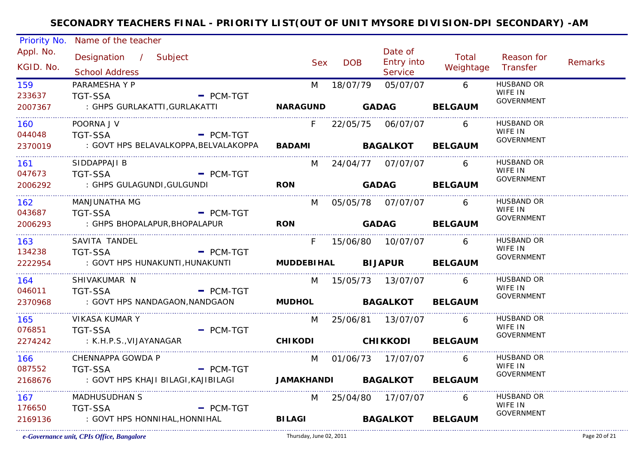| Priority No.           | Name of the teacher                            |                             |            |                        |                                  |                             |                              |                |
|------------------------|------------------------------------------------|-----------------------------|------------|------------------------|----------------------------------|-----------------------------|------------------------------|----------------|
| Appl. No.<br>KGID. No. | Designation / Subject<br><b>School Address</b> |                             | <b>Sex</b> | <b>DOB</b>             | Date of<br>Entry into<br>Service | Total<br>Weightage Transfer | Reason for                   | <b>Remarks</b> |
| 159                    | PARAMESHA Y P                                  |                             | M          | 18/07/79               | 05/07/07                         | $6\overline{6}$             | <b>HUSBAND OR</b>            |                |
| 233637                 | <b>TGT-SSA</b>                                 | - PCM-TGT                   |            |                        |                                  |                             | WIFE IN                      |                |
| 2007367                | : GHPS GURLAKATTI, GURLAKATTI                  | NARAGUND GADAG BELGAUM      |            |                        |                                  |                             | <b>GOVERNMENT</b>            |                |
| 160                    | POORNA J V                                     |                             | F          |                        |                                  | 6                           | <b>HUSBAND OR</b>            |                |
| 044048                 | $-$ PCM-TGT<br>TGT-SSA                         |                             |            |                        |                                  |                             | WIFE IN<br><b>GOVERNMENT</b> |                |
| 2370019                | : GOVT HPS BELAVALKOPPA,BELVALAKOPPA           |                             |            |                        |                                  | BADAMI BAGALKOT BELGAUM     |                              |                |
| 161                    | SIDDAPPAJI B                                   |                             |            |                        | M 24/04/77 07/07/07              | 6                           | HUSBAND OR                   |                |
| 047673                 | <b>TGT-SSA</b><br><b>Example 2 PCM-TGT</b>     |                             |            |                        |                                  |                             | WIFE IN<br>GOVERNMENT        |                |
| 2006292                | : GHPS GULAGUNDI,GULGUNDI                      | <b>RON</b>                  |            | <b>Example 2</b> GADAG |                                  | <b>BELGAUM</b>              |                              |                |
| 162                    | MANJUNATHA MG                                  |                             |            |                        | M 05/05/78 07/07/07 6            |                             | HUSBAND OR                   |                |
| 043687                 | $-$ PCM-TGT<br><b>TGT-SSA</b>                  |                             |            |                        |                                  |                             | WIFE IN<br><b>GOVERNMENT</b> |                |
| 2006293                | : GHPS BHOPALAPUR, BHOPALAPUR                  | <b>RON</b>                  |            |                        |                                  | GADAG BELGAUM               |                              |                |
| 163                    | SAVITA TANDEL                                  |                             |            |                        | F 15/06/80 10/07/07 6            |                             | <b>HUSBAND OR</b>            |                |
| 134238                 | <b>TGT-SSA</b>                                 | $=$ PCM-TGT                 |            |                        |                                  |                             | WIFE IN<br>GOVERNMENT        |                |
| 2222954                | : GOVT HPS HUNAKUNTI,HUNAKUNTI                 |                             |            |                        | MUDDEBIHAL BIJAPUR BELGAUM       |                             |                              |                |
| 164                    | SHIVAKUMAR N                                   |                             |            |                        | M 15/05/73 13/07/07              | 6                           | <b>HUSBAND OR</b>            |                |
| 046011                 | <b>TGT-SSA</b>                                 | $-$ PCM-TGT                 |            |                        |                                  |                             | WIFE IN<br>GOVERNMENT        |                |
| 2370968                | : GOVT HPS NANDAGAON, NANDGAON                 |                             |            |                        |                                  | MUDHOL BAGALKOT BELGAUM     |                              |                |
| 165 — 16               | <b>VIKASA KUMAR Y</b>                          |                             | M          |                        | 25/06/81 13/07/07 6              |                             | HUSBAND OR                   |                |
| 076851                 | <b>TGT-SSA</b>                                 | $-$ PCM-TGT                 |            |                        |                                  |                             | WIFE IN<br>GOVERNMENT        |                |
| 2274242                | : K.H.P.S.,VIJAYANAGAR                         |                             |            |                        |                                  | CHIKODI CHIKKODI BELGAUM    |                              |                |
| 166 —                  | CHENNAPPA GOWDA P                              |                             |            |                        | M 01/06/73 17/07/07              | $\sim$ 6                    | HUSBAND OR                   |                |
| 087552                 | - PCM-TGT<br>TGT-SSA                           |                             |            |                        |                                  |                             | WIFE IN<br><b>GOVERNMENT</b> |                |
| 2168676                | : GOVT HPS KHAJI BILAGI,KAJIBILAGI             | JAMAKHANDI BAGALKOT BELGAUM |            |                        |                                  |                             |                              |                |
| 167                    | <b>MADHUSUDHAN S</b>                           |                             |            |                        | M 25/04/80 17/07/07              | 6                           | <b>HUSBAND OR</b>            |                |
| 176650                 | <b>TGT-SSA</b>                                 | $=$ PCM-TGT                 |            |                        |                                  |                             | WIFE IN<br><b>GOVERNMENT</b> |                |
| 2169136                | : GOVT HPS HONNIHAL,HONNIHAL                   | <b>BILAGI</b>               |            |                        | <b>BAGALKOT</b>                  | <b>BELGAUM</b>              |                              |                |